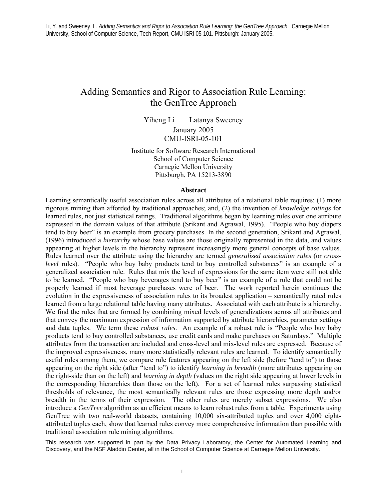# Adding Semantics and Rigor to Association Rule Learning: the GenTree Approach

Yiheng Li Latanya Sweeney January 2005 CMU-ISRI-05-101

Institute for Software Research International School of Computer Science Carnegie Mellon University Pittsburgh, PA 15213-3890

#### **Abstract**

Learning semantically useful association rules across all attributes of a relational table requires: (1) more rigorous mining than afforded by traditional approaches; and, (2) the invention of *knowledge ratings* for learned rules, not just statistical ratings. Traditional algorithms began by learning rules over one attribute expressed in the domain values of that attribute (Srikant and Agrawal, 1995). "People who buy diapers tend to buy beer" is an example from grocery purchases. In the second generation, Srikant and Agrawal, (1996) introduced a *hierarchy* whose base values are those originally represented in the data, and values appearing at higher levels in the hierarchy represent increasingly more general concepts of base values. Rules learned over the attribute using the hierarchy are termed *generalized association rules* (or *crosslevel* rules). "People who buy baby products tend to buy controlled substances" is an example of a generalized association rule. Rules that mix the level of expressions for the same item were still not able to be learned. "People who buy beverages tend to buy beer" is an example of a rule that could not be properly learned if most beverage purchases were of beer. The work reported herein continues the evolution in the expressiveness of association rules to its broadest application – semantically rated rules learned from a large relational table having many attributes. Associated with each attribute is a hierarchy. We find the rules that are formed by combining mixed levels of generalizations across all attributes and that convey the maximum expression of information supported by attribute hierarchies, parameter settings and data tuples. We term these *robust rules*. An example of a robust rule is "People who buy baby products tend to buy controlled substances, use credit cards and make purchases on Saturdays." Multiple attributes from the transaction are included and cross-level and mix-level rules are expressed. Because of the improved expressiveness, many more statistically relevant rules are learned. To identify semantically useful rules among them, we compare rule features appearing on the left side (before "tend to") to those appearing on the right side (after "tend to") to identify *learning in breadth* (more attributes appearing on the right-side than on the left) and *learning in depth* (values on the right side appearing at lower levels in the corresponding hierarchies than those on the left). For a set of learned rules surpassing statistical thresholds of relevance, the most semantically relevant rules are those expressing more depth and/or breadth in the terms of their expression. The other rules are merely subset expressions. We also introduce a *GenTree* algorithm as an efficient means to learn robust rules from a table. Experiments using GenTree with two real-world datasets, containing 10,000 six-attributed tuples and over 4,000 eightattributed tuples each, show that learned rules convey more comprehensive information than possible with traditional association rule mining algorithms.

This research was supported in part by the Data Privacy Laboratory, the Center for Automated Learning and Discovery, and the NSF Aladdin Center, all in the School of Computer Science at Carnegie Mellon University.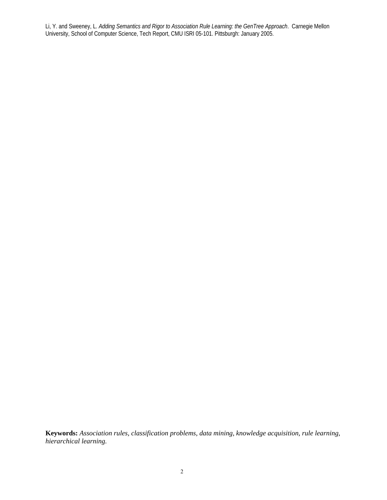**Keywords:** *Association rules, classification problems, data mining, knowledge acquisition, rule learning, hierarchical learning.*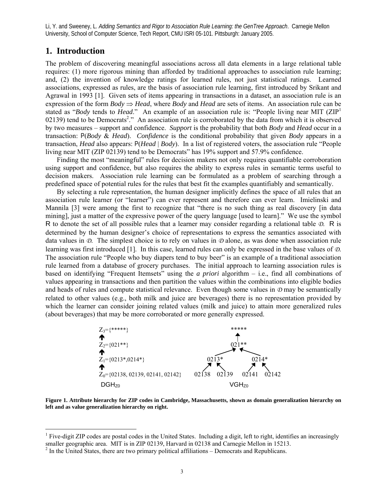# **1. Introduction**

 $\overline{a}$ 

The problem of discovering meaningful associations across all data elements in a large relational table requires: (1) more rigorous mining than afforded by traditional approaches to association rule learning; and, (2) the invention of knowledge ratings for learned rules, not just statistical ratings. Learned associations, expressed as rules, are the basis of association rule learning, first introduced by Srikant and Agrawal in 1993 [1]. Given sets of items appearing in transactions in a dataset, an association rule is an expression of the form  $Body \Rightarrow Head$ , where  $Body$  and  $Head$  are sets of items. An association rule can be stated as "*Body* tends to *Head*." An example of an association rule is: "People living near MIT (ZIP<sup>1</sup> 02139) tend to be Democrats<sup>2</sup>." An association rule is corroborated by the data from which it is observed by two measures – support and confidence. *Support* is the probability that both *Body* and *Head* occur in a transaction: P(*Body* & *Head*). *Confidence* is the conditional probability that given *Body* appears in a transaction, *Head* also appears: P(*Head* | *Body*). In a list of registered voters, the association rule "People living near MIT (ZIP 02139) tend to be Democrats" has 19% support and 57.9% confidence.

 Finding the most "meaningful" rules for decision makers not only requires quantifiable corroboration using support and confidence, but also requires the ability to express rules in semantic terms useful to decision makers. Association rule learning can be formulated as a problem of searching through a predefined space of potential rules for the rules that best fit the examples quantifiably and semantically.

 By selecting a rule representation, the human designer implicitly defines the space of all rules that an association rule learner (or "learner") can ever represent and therefore can ever learn. Imielinski and Mannila [3] were among the first to recognize that "there is no such thing as real discovery [in data mining], just a matter of the expressive power of the query language [used to learn]." We use the symbol R to denote the set of all possible rules that a learner may consider regarding a relational table *D*. R is determined by the human designer's choice of representations to express the semantics associated with data values in *D*. The simplest choice is to rely on values in *D* alone, as was done when association rule learning was first introduced [1]. In this case, learned rules can only be expressed in the base values of *D*. The association rule "People who buy diapers tend to buy beer" is an example of a traditional association rule learned from a database of grocery purchases. The initial approach to learning association rules is based on identifying "Frequent Itemsets" using the *a priori* algorithm – i.e., find all combinations of values appearing in transactions and then partition the values within the combinations into eligible bodies and heads of rules and compute statistical relevance. Even though some values in *D* may be semantically related to other values (e.g., both milk and juice are beverages) there is no representation provided by which the learner can consider joining related values (milk and juice) to attain more generalized rules (about beverages) that may be more corroborated or more generally expressed.



**Figure 1. Attribute hierarchy for ZIP codes in Cambridge, Massachusetts, shown as domain generalization hierarchy on left and as value generalization hierarchy on right.** 

<sup>&</sup>lt;sup>1</sup> Five-digit ZIP codes are postal codes in the United States. Including a digit, left to right, identifies an increasingly smaller geographic area. MIT is in ZIP 02139, Harvard in 02138 and Carnegie Mellon in 15213.

 $2 \text{ In the United States, there are two primary political affiliations - Democrates and Republicans.}$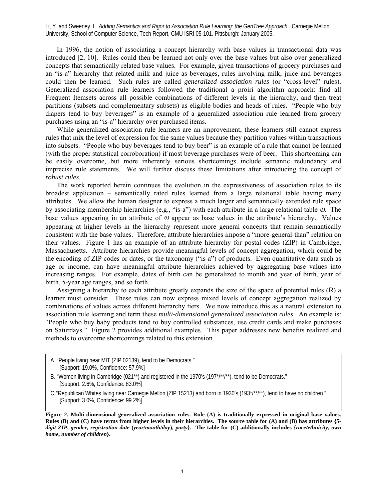In 1996, the notion of associating a concept hierarchy with base values in transactional data was introduced [2, 10]. Rules could then be learned not only over the base values but also over generalized concepts that semantically related base values. For example, given transactions of grocery purchases and an "is-a" hierarchy that related milk and juice as beverages, rules involving milk, juice and beverages could then be learned. Such rules are called *generalized association rules* (or "cross-level" rules). Generalized association rule learners followed the traditional a proiri algorithm approach: find all Frequent Itemsets across all possible combinations of different levels in the hierarchy, and then treat partitions (subsets and complementary subsets) as eligible bodies and heads of rules. "People who buy diapers tend to buy beverages" is an example of a generalized association rule learned from grocery purchases using an "is-a" hierarchy over purchased items.

 While generalized association rule learners are an improvement, these learners still cannot express rules that mix the level of expression for the same values because they partition values within transactions into subsets. "People who buy beverages tend to buy beer" is an example of a rule that cannot be learned (with the proper statistical corroboration) if most beverage purchases were of beer. This shortcoming can be easily overcome, but more inherently serious shortcomings include semantic redundancy and imprecise rule statements. We will further discuss these limitations after introducing the concept of *robust rules*.

 The work reported herein continues the evolution in the expressiveness of association rules to its broadest application – semantically rated rules learned from a large relational table having many attributes. We allow the human designer to express a much larger and semantically extended rule space by associating membership hierarchies (e.g., "is-a") with each attribute in a large relational table *D*. The base values appearing in an attribute of *D* appear as base values in the attribute's hierarchy. Values appearing at higher levels in the hierarchy represent more general concepts that remain semantically consistent with the base values. Therefore, attribute hierarchies impose a "more-general-than" relation on their values. Figure 1 has an example of an attribute hierarchy for postal codes (ZIP) in Cambridge, Massachusetts. Attribute hierarchies provide meaningful levels of concept aggregation, which could be the encoding of ZIP codes or dates, or the taxonomy ("is-a") of products. Even quantitative data such as age or income, can have meaningful attribute hierarchies achieved by aggregating base values into increasing ranges. For example, dates of birth can be generalized to month and year of birth, year of birth, 5-year age ranges, and so forth.

 Assigning a hierarchy to each attribute greatly expands the size of the space of potential rules (R) a learner must consider. These rules can now express mixed levels of concept aggregation realized by combinations of values across different hierarchy tiers. We now introduce this as a natural extension to association rule learning and term these *multi-dimensional generalized association rules*. An example is: "People who buy baby products tend to buy controlled substances, use credit cards and make purchases on Saturdays." Figure 2 provides additional examples. This paper addresses new benefits realized and methods to overcome shortcomings related to this extension.

A. "People living near MIT (ZIP 02139), tend to be Democrats." [Support: 19.0%, Confidence: 57.9%]

C."Republican Whites living near Carnegie Mellon (ZIP 15213) and born in 1930's (193\*/\*\*/\*\*), tend to have no children." [Support: 3.0%, Confidence: 99.2%]

**Figure 2. Multi-dimensional generalized association rules. Rule (A) is traditionally expressed in original base values. Rules (B) and (C) have terms from higher levels in their hierarchies. The source table for (A) and (B) has attributes {***5* digit ZIP, gender, registration date (year/month/day), party}. The table for (C) additionally includes {race/ethnicity, own *home***,** *number of children***}.** 

B. "Women living in Cambridge (021\*\*) and registered in the 1970's (197\*/\*\*/\*\*), tend to be Democrats." [Support: 2.6%, Confidence: 83.0%]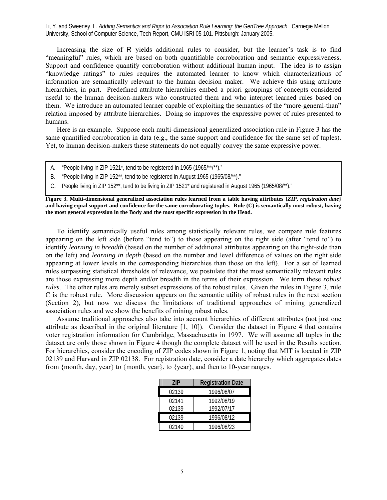Increasing the size of R yields additional rules to consider, but the learner's task is to find "meaningful" rules, which are based on both quantifiable corroboration and semantic expressiveness. Support and confidence quantify corroboration without additional human input. The idea is to assign "knowledge ratings" to rules requires the automated learner to know which characterizations of information are semantically relevant to the human decision maker. We achieve this using attribute hierarchies, in part. Predefined attribute hierarchies embed a priori groupings of concepts considered useful to the human decision-makers who constructed them and who interpret learned rules based on them. We introduce an automated learner capable of exploiting the semantics of the "more-general-than" relation imposed by attribute hierarchies. Doing so improves the expressive power of rules presented to humans.

 Here is an example. Suppose each multi-dimensional generalized association rule in Figure 3 has the same quantified corroboration in data (e.g., the same support and confidence for the same set of tuples). Yet, to human decision-makers these statements do not equally convey the same expressive power.

- A. "People living in ZIP 1521\*, tend to be registered in 1965 (1965/\*\*/\*\*)."
- B. "People living in ZIP 152\*\*, tend to be registered in August 1965 (1965/08/\*\*)."
- C. People living in ZIP 152\*\*, tend to be living in ZIP 1521\* and registered in August 1965 (1965/08/\*\*)."

**Figure 3. Multi-dimensional generalized association rules learned from a table having attributes {***ZIP***,** *registration date***} and having equal support and confidence for the same corroborating tuples. Rule (C) is semantically most robust, having the most general expression in the Body and the most specific expression in the Head.** 

 To identify semantically useful rules among statistically relevant rules, we compare rule features appearing on the left side (before "tend to") to those appearing on the right side (after "tend to") to identify *learning in breadth* (based on the number of additional attributes appearing on the right-side than on the left) and *learning in depth* (based on the number and level difference of values on the right side appearing at lower levels in the corresponding hierarchies than those on the left). For a set of learned rules surpassing statistical thresholds of relevance, we postulate that the most semantically relevant rules are those expressing more depth and/or breadth in the terms of their expression. We term these *robust rules*. The other rules are merely subset expressions of the robust rules. Given the rules in Figure 3, rule C is the robust rule. More discussion appears on the semantic utility of robust rules in the next section (Section 2), but now we discuss the limitations of traditional approaches of mining generalized association rules and we show the benefits of mining robust rules.

 Assume traditional approaches also take into account hierarchies of different attributes (not just one attribute as described in the original literature [1, 10]). Consider the dataset in Figure 4 that contains voter registration information for Cambridge, Massachusetts in 1997. We will assume all tuples in the dataset are only those shown in Figure 4 though the complete dataset will be used in the Results section. For hierarchies, consider the encoding of ZIP codes shown in Figure 1, noting that MIT is located in ZIP 02139 and Harvard in ZIP 02138. For registration date, consider a date hierarchy which aggregates dates from {month, day, year} to {month, year}, to {year}, and then to 10-year ranges.

| 7IP   | <b>Registration Date</b> |
|-------|--------------------------|
| 02139 | 1996/08/07               |
| 02141 | 1992/08/19               |
| 02139 | 1992/07/17               |
| 02139 | 1996/08/12               |
| 02140 | 1996/08/23               |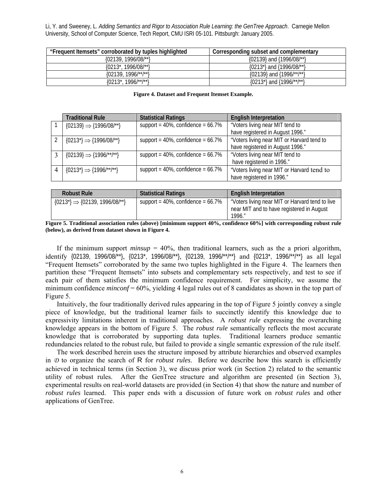| "Frequent Itemsets" corroborated by tuples highlighted | Corresponding subset and complementary    |
|--------------------------------------------------------|-------------------------------------------|
| ${02139, 1996/08}$ <sup>**</sup> }                     | $\{02139\}$ and $\{1996/08\}$ **}         |
| {0213*, 1996/08/**}                                    | ${0213^*}$ and ${1996/08}$ /**}           |
| ${02139, 1996}^{\star\star}$                           | {02139} and {1996/**/**}                  |
| $1996$ /**/**}<br>$0213^*$                             | ${0213^*}$ and ${1996}^{\prime*}$ /**/**} |

**Figure 4. Dataset and Frequent Itemset Example.** 

|   | <b>Traditional Rule</b>                                    | <b>Statistical Ratings</b>               | <b>English Interpretation</b>              |
|---|------------------------------------------------------------|------------------------------------------|--------------------------------------------|
|   | ${02139} \Rightarrow {1996/08}^{\star\star}$               | support = $40\%$ , confidence = $66.7\%$ | "Voters living near MIT tend to            |
|   |                                                            |                                          | have registered in August 1996."           |
|   | ${0213^*}\Rightarrow {1996/08}^{**}$                       | support = $40\%$ , confidence = $66.7\%$ | "Voters living near MIT or Harvard tend to |
|   |                                                            |                                          | have registered in August 1996."           |
|   | ${02139} \Rightarrow {1996}^{\prime\star\prime\star\star}$ | support = $40\%$ , confidence = $66.7\%$ | "Voters living near MIT tend to            |
|   |                                                            |                                          | have registered in 1996."                  |
| 4 | ${0213^*}\Rightarrow {1996'}^{**}$                         | support = $40\%$ , confidence = $66.7\%$ | "Voters living near MIT or Harvard tend to |
|   |                                                            |                                          | have registered in 1996."                  |

| <b>Robust Rule</b>                           | <b>Statistical Ratings</b>               | <b>English Interpretation</b>                                                                          |
|----------------------------------------------|------------------------------------------|--------------------------------------------------------------------------------------------------------|
| $\{0213^*\}\Rightarrow\{02139, 1996/08/**\}$ | support = $40\%$ , confidence = $66.7\%$ | "Voters living near MIT or Harvard tend to live<br>near MIT and to have registered in August<br>1996." |

**Figure 5. Traditional association rules (above) [minimum support 40%, confidence 60%] with corresponding robust rule (below), as derived from dataset shown in Figure 4.** 

If the minimum support  $minsup = 40\%$ , then traditional learners, such as the a priori algorithm, identify {02139, 1996/08/\*\*}, {0213\*, 1996/08/\*\*}, {02139, 1996/\*\*/\*\*} and {0213\*, 1996/\*\*/\*\*} as all legal "Frequent Itemsets" corroborated by the same two tuples highlighted in the Figure 4. The learners then partition these "Frequent Itemsets" into subsets and complementary sets respectively, and test to see if each pair of them satisfies the minimum confidence requirement. For simplicity, we assume the minimum confidence *minconf* = 60%, yielding 4 legal rules out of 8 candidates as shown in the top part of Figure 5.

 Intuitively, the four traditionally derived rules appearing in the top of Figure 5 jointly convey a single piece of knowledge, but the traditional learner fails to succinctly identify this knowledge due to expressivity limitations inherent in traditional approaches. A *robust rule* expressing the overarching knowledge appears in the bottom of Figure 5. The *robust rule* semantically reflects the most accurate knowledge that is corroborated by supporting data tuples. Traditional learners produce semantic redundancies related to the robust rule, but failed to provide a single semantic expression of the rule itself.

 The work described herein uses the structure imposed by attribute hierarchies and observed examples in *D* to organize the search of R for *robust rules*. Before we describe how this search is efficiently achieved in technical terms (in Section 3), we discuss prior work (in Section 2) related to the semantic utility of robust rules. After the GenTree structure and algorithm are presented (in Section 3), experimental results on real-world datasets are provided (in Section 4) that show the nature and number of *robust rules* learned. This paper ends with a discussion of future work on *robust rules* and other applications of GenTree.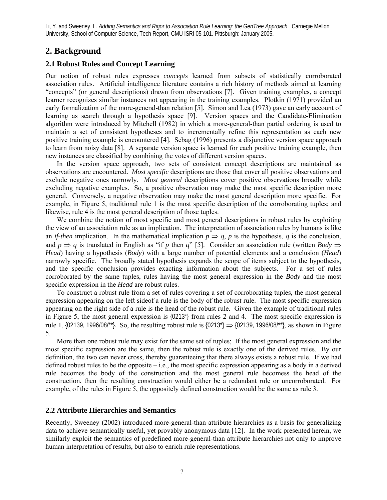# **2. Background**

### **2.1 Robust Rules and Concept Learning**

Our notion of robust rules expresses *concepts* learned from subsets of statistically corroborated association rules. Artificial intelligence literature contains a rich history of methods aimed at learning "concepts" (or general descriptions) drawn from observations [7]. Given training examples, a concept learner recognizes similar instances not appearing in the training examples. Plotkin (1971) provided an early formalization of the more-general-than relation [5]. Simon and Lea (1973) gave an early account of learning as search through a hypothesis space [9]. Version spaces and the Candidate-Elimination algorithm were introduced by Mitchell (1982) in which a more-general-than partial ordering is used to maintain a set of consistent hypotheses and to incrementally refine this representation as each new positive training example is encountered [4]. Sebag (1996) presents a disjunctive version space approach to learn from noisy data [8]. A separate version space is learned for each positive training example, then new instances are classified by combining the votes of different version spaces.

 In the version space approach, two sets of consistent concept descriptions are maintained as observations are encountered. *Most specific* descriptions are those that cover all positive observations and exclude negative ones narrowly. *Most general* descriptions cover positive observations broadly while excluding negative examples. So, a positive observation may make the most specific description more general. Conversely, a negative observation may make the most general description more specific. For example, in Figure 5, traditional rule 1 is the most specific description of the corroborating tuples; and likewise, rule 4 is the most general description of those tuples.

We combine the notion of most specific and most general descriptions in robust rules by exploiting the view of an association rule as an implication. The interpretation of association rules by humans is like an *if-then* implication. In the mathematical implication  $p \Rightarrow q$ , *p* is the hypothesis, *q* is the conclusion, and *p*  $\Rightarrow$  *q* is translated in English as "if *p* then *q*" [5]. Consider an association rule (written *Body*  $\Rightarrow$ *Head*) having a hypothesis (*Body*) with a large number of potential elements and a conclusion (*Head*) narrowly specific. The broadly stated hypothesis expands the scope of items subject to the hypothesis, and the specific conclusion provides exacting information about the subjects. For a set of rules corroborated by the same tuples, rules having the most general expression in the *Body* and the most specific expression in the *Head* are robust rules.

 To construct a robust rule from a set of rules covering a set of corroborating tuples, the most general expression appearing on the left sideof a rule is the body of the robust rule. The most specific expression appearing on the right side of a rule is the head of the robust rule. Given the example of traditional rules in Figure 5, the most general expression is {0213\*} from rules 2 and 4. The most specific expression is rule 1, {02139, 1996/08/\*\*}. So, the resulting robust rule is {0213\*}  $\Rightarrow$  {02139, 1996/08/\*\*}, as shown in Figure 5.

 More than one robust rule may exist for the same set of tuples; If the most general expression and the most specific expression are the same, then the robust rule is exactly one of the derived rules. By our definition, the two can never cross, thereby guaranteeing that there always exists a robust rule. If we had defined robust rules to be the opposite – i.e., the most specific expression appearing as a body in a derived rule becomes the body of the construction and the most general rule becomess the head of the construction, then the resulting construction would either be a redundant rule or uncorroborated. For example, of the rules in Figure 5, the oppositely defined construction would be the same as rule 3.

### **2.2 Attribute Hierarchies and Semantics**

Recently, Sweeney (2002) introduced more-general-than attribute hierarchies as a basis for generalizing data to achieve semantically useful, yet provably anonymous data [12]. In the work presented herein, we similarly exploit the semantics of predefined more-general-than attribute hierarchies not only to improve human interpretation of results, but also to enrich rule representations.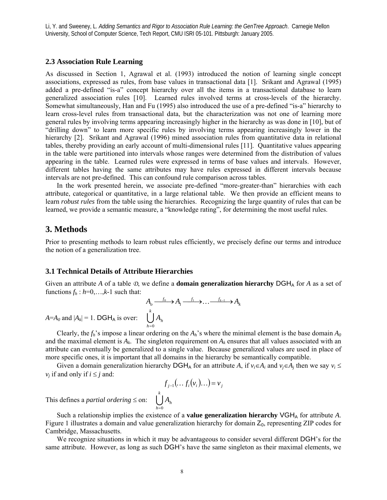### **2.3 Association Rule Learning**

As discussed in Section 1, Agrawal et al. (1993) introduced the notion of learning single concept associations, expressed as rules, from base values in transactional data [1]. Srikant and Agrawal (1995) added a pre-defined "is-a" concept hierarchy over all the items in a transactional database to learn generalized association rules [10]. Learned rules involved terms at cross-levels of the hierarchy. Somewhat simultaneously, Han and Fu (1995) also introduced the use of a pre-defined "is-a" hierarchy to learn cross-level rules from transactional data, but the characterization was not one of learning more general rules by involving terms appearing increasingly higher in the hierarchy as was done in [10], but of "drilling down" to learn more specific rules by involving terms appearing increasingly lower in the hierarchy [2]. Srikant and Agrawal (1996) mined association rules from quantitative data in relational tables, thereby providing an early account of multi-dimensional rules [11]. Quantitative values appearing in the table were partitioned into intervals whose ranges were determined from the distribution of values appearing in the table. Learned rules were expressed in terms of base values and intervals. However, different tables having the same attributes may have rules expressed in different intervals because intervals are not pre-defined. This can confound rule comparison across tables.

 In the work presented herein, we associate pre-defined "more-greater-than" hierarchies with each attribute, categorical or quantitative, in a large relational table. We then provide an efficient means to learn *robust rules* from the table using the hierarchies. Recognizing the large quantity of rules that can be learned, we provide a semantic measure, a "knowledge rating", for determining the most useful rules.

# **3. Methods**

Prior to presenting methods to learn robust rules efficiently, we precisely define our terms and introduce the notion of a generalization tree.

# **3.1 Technical Details of Attribute Hierarchies**

Given an attribute *A* of a table  $\mathcal{D}$ , we define a **domain generalization hierarchy** DGH<sub>A</sub> for *A* as a set of functions  $f_h$  :  $h=0,\ldots,k-1$  such that:

$$
A_o \xrightarrow{f_0} A_1 \xrightarrow{f_1} \dots \xrightarrow{f_{k-1}} A_k
$$
  

$$
\bigcup_{h=0}^k A_h
$$

Clearly, the  $f_h$ 's impose a linear ordering on the  $A_h$ 's where the minimal element is the base domain  $A_0$ and the maximal element is  $A_k$ . The singleton requirement on  $A_k$  ensures that all values associated with an attribute can eventually be generalized to a single value. Because generalized values are used in place of more specific ones, it is important that all domains in the hierarchy be semantically compatible.

Given a domain generalization hierarchy DGH<sub>A</sub> for an attribute *A*, if  $v_i \in A_i$  and  $v_j \in A_j$  then we say  $v_i \leq$ *v<sub>i</sub>* if and only if  $i \leq j$  and:

$$
f_{j-1}(\ldots f_i(v_i)\ldots) = v_j
$$
  

$$
\bigcup_{h=0}^k A_h
$$

This defines a *partial ordering*  $\leq$  on:

 $A = A_0$  and  $|A_k| = 1$ . DGH<sub>A</sub> is over:

Such a relationship implies the existence of a **value generalization hierarchy** VGH<sub>A</sub> for attribute *A*. Figure 1 illustrates a domain and value generalization hierarchy for domain  $Z_0$ , representing ZIP codes for Cambridge, Massachusetts.

We recognize situations in which it may be advantageous to consider several different DGH's for the same attribute. However, as long as such DGH's have the same singleton as their maximal elements, we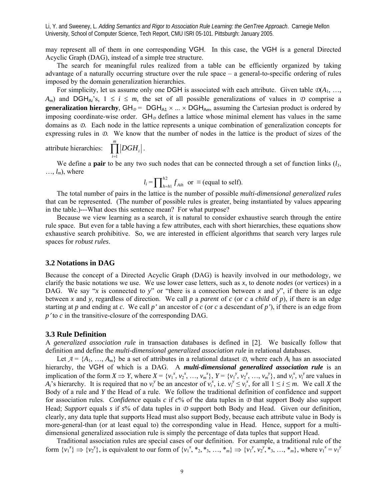may represent all of them in one corresponding VGH. In this case, the VGH is a general Directed Acyclic Graph (DAG), instead of a simple tree structure.

 The search for meaningful rules realized from a table can be efficiently organized by taking advantage of a naturally occurring structure over the rule space – a general-to-specific ordering of rules imposed by the domain generalization hierarchies.

For simplicity, let us assume only one DGH is associated with each attribute. Given table  $\mathcal{D}(A_1, \ldots, A_n)$ *A<sub>m</sub>*) and DGH<sub>Ai</sub>'s,  $1 \le i \le m$ , the set of all possible generalizations of values in  $\Phi$  comprise a **generalization hierarchy**,  $GH_{\mathcal{D}} = DGH_{A1} \times ... \times DGH_{Am}$ , assuming the Cartesian product is ordered by imposing coordinate-wise order. GH<sub>p</sub> defines a lattice whose minimal element has values in the same domains as *D*. Each node in the lattice represents a unique combination of generalization concepts for expressing rules in *D*. We know that the number of nodes in the lattice is the product of sizes of the

attribute hierarchies: 
$$
\prod_{i=1}^{m} |DGH_i|.
$$

We define a **pair** to be any two such nodes that can be connected through a set of function links  $(l_1, l_2)$  $..., l_m$ , where

$$
l_i = \prod_{h=h}^{h2} f_{Aih} \text{ or } \equiv \text{(equal to self)}.
$$

 The total number of pairs in the lattice is the number of possible *multi-dimensional generalized rules* that can be represented. (The number of possible rules is greater, being instantiated by values appearing in the table.)---What does this sentence mean? For what purpose?

 Because we view learning as a search, it is natural to consider exhaustive search through the entire rule space. But even for a table having a few attributes, each with short hierarchies, these equations show exhaustive search prohibitive. So, we are interested in efficient algorithms that search very larges rule spaces for *robust rules*.

### **3.2 Notations in DAG**

Because the concept of a Directed Acyclic Graph (DAG) is heavily involved in our methodology, we clarify the basic notations we use. We use lower case letters, such as *x*, to denote *nodes* (or vertices) in a DAG. We say "*x* is connected to *y*" or "there is a connection between *x* and *y*", if there is an edge between *x* and *y*, regardless of direction. We call *p* a *parent* of *c* (or *c* a *child* of *p*), if there is an edge starting at *p* and ending at *c*. We call *p'* an ancestor of *c* (or *c* a descendant of *p'*), if there is an edge from *p*′ to *c* in the transitive-closure of the corresponding DAG.

#### **3.3 Rule Definition**

A *generalized association rule* in transaction databases is defined in [2]. We basically follow that definition and define the *multi-dimensional generalized association rule* in relational databases.

Let  $A = \{A_1, ..., A_m\}$  be a set of attributes in a relational dataset  $D$ , where each  $A_i$  has an associated hierarchy, the VGH of which is a DAG. A *multi-dimensional generalized association rule* is an implication of the form  $X \Rightarrow Y$ , where  $X = \{v_1^x, v_2^x, ..., v_m^x\}$ ,  $Y = \{v_1^y, v_2^y, ..., v_m^y\}$ , and  $v_i^x, v_i^y$  are values in *A<sub>i</sub>*'s hierarchy. It is required that no  $v_i^y$  be an ancestor of  $v_i^x$ , i.e.  $v_i^y \le v_i^x$ , for all  $1 \le i \le m$ . We call *X* the Body of a rule and *Y* the Head of a rule. We follow the traditional definition of confidence and support for association rules. *Confidence* equals *c* if *c*% of the data tuples in *D* that support Body also support Head; *Support* equals *s* if *s*% of data tuples in *D* support both Body and Head. Given our definition, clearly, any data tuple that supports Head must also support Body, because each attribute value in Body is more-general-than (or at least equal to) the corresponding value in Head. Hence, support for a multidimensional generalized association rule is simply the percentage of data tuples that support Head.

 Traditional association rules are special cases of our definition. For example, a traditional rule of the form  $\{v_1^x\} \Rightarrow \{v_2^y\}$ , is equivalent to our form of  $\{v_1^x, *_{2}, *_{3}, ..., *_{m}\}\Rightarrow \{v_1^y, v_2^y, *_{3}, ..., *_{m}\}\$ , where  $v_1^x = v_1^y$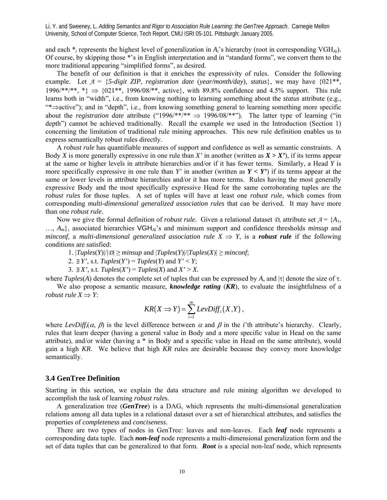and each \**i* represents the highest level of generalization in *Ai*'s hierarchy (root in corresponding VGH*Ai*). Of course, by skipping those \*'s in English interpretation and in "standard forms", we convert them to the more traditional appearing "simplified forms", as desired.

 The benefit of our definition is that it enriches the expressivity of rules. Consider the following example. Let  $A = \{5\text{-digit ZIP}, \text{ registration date } (\text{year}/\text{month}/\text{day}), \text{ status}\},$  we may have  $\{021^{**},$  $1996/**/**$ , \*}  $\Rightarrow$   $\{021**$ ,  $1996/08/**$ , active}, with 89.8% confidence and 4.5% support. This rule learns both in "width", i.e., from knowing nothing to learning something about the *status* attribute (e.g., "\*⇒active"); and in "depth", i.e., from knowing something general to learning something more specific about the *registration date* attribute ("1996/\*\*/\*\*  $\Rightarrow$  1996/08/\*\*"). The latter type of learning ("in depth") cannot be achieved traditionally. Recall the example we used in the Introduction (Section 1) concerning the limitation of traditional rule mining approaches. This new rule definition enables us to express semantically robust rules directly.

 A *robust rule* has quantifiable measures of support and confidence as well as semantic constraints. A Body *X* is more generally expressive in one rule than *X*' in another (written as  $X > X'$ ), if its terms appear at the same or higher levels in attribute hierarchies and/or if it has fewer terms. Similarly, a Head *Y* is more specifically expressive in one rule than *Y'* in another (written as  $Y \lt Y'$ ) if its terms appear at the same or lower levels in attribute hierarchies and/or it has more terms. Rules having the most generally expressive Body and the most specifically expressive Head for the same corroborating tuples are the *robust rules* for those tuples. A set of tuples will have at least one *robust rule,* which comes from corresponding *multi-dimensional generalized association rules* that can be derived. It may have more than one *robust rule*.

Now we give the formal definition of *robust rule*. Given a relational dataset  $\varphi$ , attribute set  $\mathcal{A} = \{A_1, A_2, \ldots, A_n\}$ …, *Am*}, associated hierarchies VGH*Ai*'s and minimum support and confidence thresholds *minsup* and *minconf*, a *multi-dimensional generalized association rule*  $X \implies Y$ , is a *robust rule* if the following conditions are satisfied:

1.  $|Tuples(Y)|/|\mathcal{D}| \geq minsup$  and  $|Tuples(Y)|/|Tuples(X)| \geq minconf;$ 

2.  $\exists Y'$ , s.t. *Tuples*(*Y'*) = *Tuples*(*Y*) and *Y'* < *Y*;

3.  $\exists X'$ , s.t.  $Tuples(X') = Tuples(X)$  and  $X' > X$ .

where *Tuples*(*A*) denotes the complete set of tuples that can be expressed by *A*, and |τ| denote the size of τ.

 We also propose a semantic measure, *knowledge rating* (*KR*), to evaluate the insightfulness of a *robust rule*  $X \Rightarrow Y$ :

$$
KR(X \Rightarrow Y) = \sum_{i=1}^{m} LevDiff_i(X,Y),
$$

where  $LevDiff_i(\alpha, \beta)$  is the level difference between  $\alpha$  and  $\beta$  in the *i*'th attribute's hierarchy. Clearly, rules that learn deeper (having a general value in Body and a more specific value in Head on the same attribute), and/or wider (having a \* in Body and a specific value in Head on the same attribute), would gain a high *KR*. We believe that high *KR* rules are desirable because they convey more knowledge semantically.

### **3.4 GenTree Definition**

Starting in this section, we explain the data structure and rule mining algorithm we developed to accomplish the task of learning *robust rule*s.

A generalization tree (*GenTree*) is a DAG, which represents the multi-dimensional generalization relations among all data tuples in a relational dataset over a set of hierarchical attributes, and satisfies the properties of *completeness* and *conciseness*.

 There are two types of nodes in GenTree: leaves and non-leaves. Each *leaf* node represents a corresponding data tuple. Each *non-leaf* node represents a multi-dimensional generalization form and the set of data tuples that can be generalized to that form. *Root* is a special non-leaf node, which represents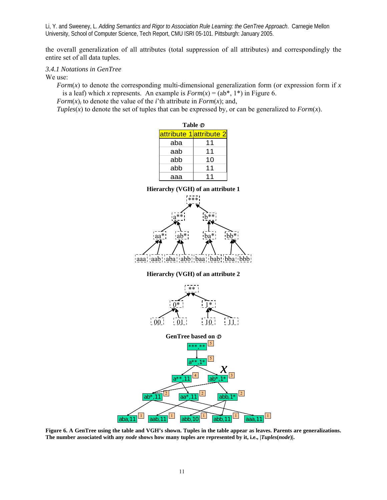the overall generalization of all attributes (total suppression of all attributes) and correspondingly the entire set of all data tuples.

# *3.4.1 Notations in GenTree*

We use:

*Form*(*x*) to denote the corresponding multi-dimensional generalization form (or expression form if *x* is a leaf) which *x* represents. An example is  $Form(x) = (ab^*, 1^*)$  in Figure 6.

*Form* $(x)$ *i* to denote the value of the *i*'th attribute in *Form* $(x)$ ; and,

*Tuples*( $x$ ) to denote the set of tuples that can be expressed by, or can be generalized to *Form*( $x$ ).

|     | Table の                 |
|-----|-------------------------|
|     | attribute 1 attribute 2 |
| aba | 11                      |
| aab | 11                      |
| abb | 10                      |
| abb | 11                      |
| ааа | 11                      |



**Figure 6. A GenTree using the table and VGH's shown. Tuples in the table appear as leaves. Parents are generalizations. The number associated with any** *node* **shows how many tuples are represented by it, i.e., |***Tuples***(***node***)|.**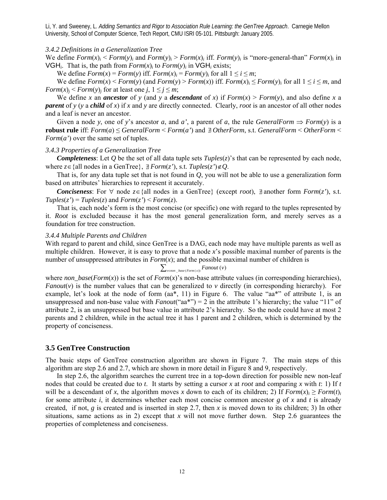### *3.4.2 Definitions in a Generalization Tree*

We define  $Form(x)_i \leq Form(y)_i$  and  $Form(y)_i \geq Form(x)_i$  iff.  $Form(y)_i$  is "more-general-than"  $Form(x)_i$  in VGH<sub>i</sub>. That is, the path from  $Form(x)$ *i* to  $Form(y)$ *i* in VGH<sub>i</sub> exists;

We define  $Form(x) = Form(y)$  iff.  $Form(x) = Form(y)$ *i* for all  $1 \le i \le m$ ;

We define  $Form(x) \leq Form(y)$  (and  $Form(y) \geq Form(x)$ ) iff.  $Form(x)_i \leq Form(y)_i$  for all  $1 \leq i \leq m$ , and *Form* $(x)$ <sup>*j*</sup> < *Form* $(y)$ <sup>*j*</sup> for at least one *j*,  $1 \le j \le m$ ;

We define *x* an *ancestor* of *y* (and *y* a *descendant* of *x*) if  $Form(x) > Form(y)$ , and also define *x* a *parent* of *y* (*y* a *child* of *x*) if *x* and *y* are directly connected. Clearly, *root* is an ancestor of all other nodes and a leaf is never an ancestor.

Given a node *y*, one of *y*'s ancestor *a*, and *a*', a parent of *a*, the rule *GeneralForm*  $\Rightarrow$  *Form*(*y*) is a **robust rule** iff:  $Form(a) ≤ GeneralForm ≤ Form(a')$  and  $�}$  *OtherForm*, s.t. *GeneralForm* < *OtherForm* < *Form*(*a'*) over the same set of tuples.

#### *3.4.3 Properties of a Generalization Tree*

*Completeness*: Let *Q* be the set of all data tuple sets  $Tuples(z)$ 's that can be represented by each node, where  $z \in \{all \text{ nodes in a GenTree}\}\$ ,  $\exists \text{Form}(z')$ , s.t.  $Tuples(z') \notin Q$ .

 That is, for any data tuple set that is not found in *Q*, you will not be able to use a generalization form based on attributes' hierarchies to represent it accurately.

 *Conciseness*: For ∀ node *z*∈{all nodes in a GenTree} (except *root*), ∃/ another form *Form*(*z'*), s.t.  $Tuples(z') = Tuples(z)$  and  $Form(z') \leq Form(z)$ .

 That is, each node's form is the most concise (or specific) one with regard to the tuples represented by it. *Root* is excluded because it has the most general generalization form, and merely serves as a foundation for tree construction.

#### *3.4.4 Multiple Parents and Children*

With regard to parent and child, since GenTree is a DAG, each node may have multiple parents as well as multiple children. However, it is easy to prove that a node *x*'s possible maximal number of parents is the number of unsuppressed attributes in  $Form(x)$ ; and the possible maximal number of children is

# $\sum_{v \in non base (Form(x))} Fanout(v)$

where *non* base(*Form*(*x*)) is the set of *Form*(*x*)'s non-base attribute values (in corresponding hierarchies), *Fanout*( $v$ ) is the number values that can be generalized to  $v$  directly (in corresponding hierarchy). For example, let's look at the node of form  $(aa^*, 11)$  in Figure 6. The value " $aa^*$ " of attribute 1, is an unsuppressed and non-base value with *Fanout*("aa\*") = 2 in the attribute 1's hierarchy; the value "11" of attribute 2, is an unsuppressed but base value in attribute 2's hierarchy. So the node could have at most 2 parents and 2 children, while in the actual tree it has 1 parent and 2 children, which is determined by the property of conciseness.

# **3.5 GenTree Construction**

The basic steps of GenTree construction algorithm are shown in Figure 7. The main steps of this algorithm are step 2.6 and 2.7, which are shown in more detail in Figure 8 and 9, respectively.

 In step 2.6, the algorithm searches the current tree in a top-down direction for possible new non-leaf nodes that could be created due to *t*. It starts by setting a cursor *x* at *root* and comparing *x* with *t*: 1) If *t* will be a descendant of *x*, the algorithm moves *x* down to each of its children; 2) If  $Form(x)_i \geq Form(t)_i$ for some attribute *i*, it determines whether each most concise common ancestor *g* of *x* and *t* is already created, if not, *g* is created and is inserted in step 2.7, then *x* is moved down to its children; 3) In other situations, same actions as in 2) except that  $x$  will not move further down. Step 2.6 guarantees the properties of completeness and conciseness.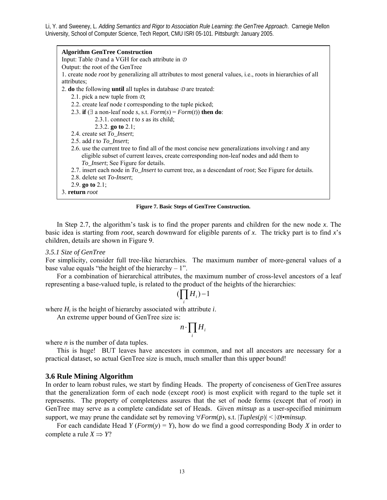**Algorithm GenTree Construction**  Input: Table *D* and a VGH for each attribute in *D* Output: the root of the GenTree 1. create node *root* by generalizing all attributes to most general values, i.e., roots in hierarchies of all attributes; 2. **do** the following **until** all tuples in database *D* are treated: 2.1. pick a new tuple from *D*; 2.2. create leaf node *t* corresponding to the tuple picked; 2.3. **if** ( $\exists$  a non-leaf node *s*, *s.t. Form*(*s*) = *Form*(*t*)) **then do**: 2.3.1. connect *t* to *s* as its child; 2.3.2. **go to** 2.1; 2.4. create set *To\_Insert*; 2.5. add *t* to *To\_Insert*; 2.6. use the current tree to find all of the most concise new generalizations involving *t* and any eligible subset of current leaves, create corresponding non-leaf nodes and add them to *To\_Insert*; See Figure for details. 2.7. insert each node in *To\_Insert* to current tree, as a descendant of *root*; See Figure for details. 2.8. delete set *To-Insert*; 2.9. **go to** 2.1; 3. **return** *root*

#### **Figure 7. Basic Steps of GenTree Construction.**

 In Step 2.7, the algorithm's task is to find the proper parents and children for the new node *x*. The basic idea is starting from *root*, search downward for eligible parents of *x*. The tricky part is to find *x*'s children, details are shown in Figure 9.

#### *3.5.1 Size of GenTree*

For simplicity, consider full tree-like hierarchies. The maximum number of more-general values of a base value equals "the height of the hierarchy  $-1$ ".

 For a combination of hierarchical attributes, the maximum number of cross-level ancestors of a leaf representing a base-valued tuple, is related to the product of the heights of the hierarchies:

$$
(\prod_i H_i)-1
$$

where  $H_i$  is the height of hierarchy associated with attribute  $i$ .

An extreme upper bound of GenTree size is:

$$
n \cdot \prod_i H_i
$$

where *n* is the number of data tuples.

 This is huge! BUT leaves have ancestors in common, and not all ancestors are necessary for a practical dataset, so actual GenTree size is much, much smaller than this upper bound!

#### **3.6 Rule Mining Algorithm**

In order to learn robust rules, we start by finding Heads. The property of conciseness of GenTree assures that the generalization form of each node (except *root*) is most explicit with regard to the tuple set it represents. The property of completeness assures that the set of node forms (except that of *root*) in GenTree may serve as a complete candidate set of Heads. Given *minsup* as a user-specified minimum support, we may prune the candidate set by removing  $\forall Form(p)$ , s.t.  $|Tuples(p)| \leq |\mathcal{D}| \cdot minusup$ .

For each candidate Head  $Y$  (*Form*( $y$ ) =  $Y$ ), how do we find a good corresponding Body  $X$  in order to complete a rule  $X \Rightarrow Y$ ?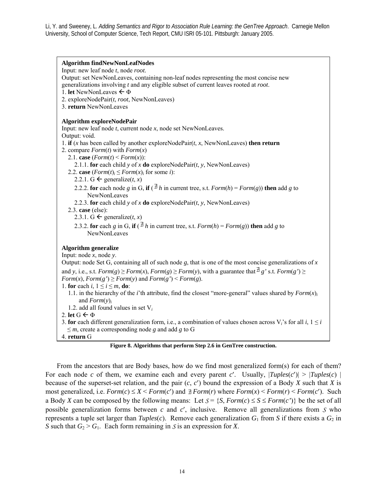**Algorithm findNewNonLeafNodes**  Input: new leaf node *t*, node *root*. Output: set NewNonLeaves, containing non-leaf nodes representing the most concise new generalizations involving *t* and any eligible subset of current leaves rooted at *root*. 1. **let** NewNonLeaves  $\leftarrow \Phi$ 2. exploreNodePair(*t*, *root*, NewNonLeaves) 3. **return** NewNonLeaves **Algorithm exploreNodePair**  Input: new leaf node *t*, current node *x*, node set NewNonLeaves. Output: void. 1. **if** (*x* has been called by another exploreNodePair(*t*, *x*, NewNonLeaves) **then return** 2. compare *Form*(*t*) with *Form*(*x*) 2.1. **case**  $(Form(t) \leq Form(x))$ : 2.1.1. **for** each child *y* of *x* **do** exploreNodePair(*t*, *y*, NewNonLeaves) 2.2. **case**  $(Form(t)_i \leq Form(x)_i$  for some *i*): 2.2.1. G  $\leftarrow$  generalize(*t*, *x*) 2.2.2. **for** each node *g* in G, **if** ( $\frac{1}{2}h$  in current tree, s.t. *Form*(*h*) = *Form*(*g*)) **then** add *g* to NewNonLeaves 2.2.3. **for** each child *y* of *x* **do** exploreNodePair( $t$ ,  $y$ , NewNonLeaves) 2.3. **case** (else): 2.3.1. G  $\leftarrow$  generalize(*t*, *x*) 2.3.2. **for** each *g* in G, **if** ( $\overline{B}h$  in current tree, s.t. *Form*(*h*) = *Form*(*g*)) **then** add *g* to NewNonLeaves **Algorithm generalize**  Input: node *x*, node *y*. Output: node Set G, containing all of such node *g*, that is one of the most concise generalizations of *x* and *y*, i.e., s.t. *Form*(*g*) ≥ *Form*(*x*), *Form*(*g*) ≥ *Form*(*y*), with a guarantee that  $\frac{A}{2}$  *g*' s.t. *Form*(*g*') ≥ *Form*(*x*), *Form*(*g'*)  $\geq$  *Form*(*y*) and *Form*(*g'*)  $\leq$  *Form*(*g*). 1. **for** each  $i, 1 \le i \le m$ , **do**: 1.1. in the hierarchy of the *i*'th attribute, find the closest "more-general" values shared by  $Form(x)$ <sup>*i*</sup> and *Form*(*y*)*<sup>i</sup>* 1.2. add all found values in set V*<sup>i</sup>* 2. **let**  $G \leftarrow \Phi$ 3. **for** each different generalization form, i.e., a combination of values chosen across  $V_i$ 's for all  $i, 1 \le i$  $\leq m$ , create a corresponding node *g* and add *g* to G 4. **return** G

**Figure 8. Algorithms that perform Step 2.6 in GenTree construction.** 

 From the ancestors that are Body bases, how do we find most generalized form(s) for each of them? For each node *c* of them, we examine each and every parent *c'*. Usually,  $|Tuples(c')| \ge |Tuples(c)|$ because of the superset-set relation, and the pair (*c*, *c*′) bound the expression of a Body *X* such that *X* is most generalized, i.e.  $Form(c) ≤ X < Form(c')$  and  $⊉ Form(r)$  where  $Form(x) < Form(r) < Form(c')$ . Such a Body *X* can be composed by the following means: Let  $S = \{S, Form(c) \leq S \leq Form(c')\}$  be the set of all possible generalization forms between *c* and *c*′, inclusive. Remove all generalizations from *S* who represents a tuple set larger than  $Tuples(c)$ . Remove each generalization  $G_1$  from *S* if there exists a  $G_2$  in *S* such that  $G_2 > G_1$ . Each form remaining in *S* is an expression for *X*.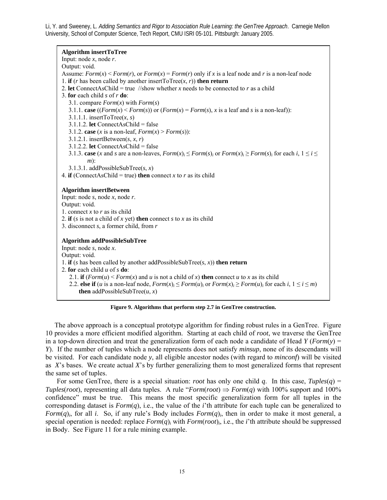**Algorithm insertToTree**  Input: node *x*, node *r*. Output: void. Assume:  $Form(x) \leq Form(r)$ , or  $Form(x) = Form(r)$  only if x is a leaf node and r is a non-leaf node 1. **if** (*r* has been called by another insertToTree(*x*, *r*)) **then return** 2. **let** ConnectAsChild = true //show whether *x* needs to be connected to *r* as a child 3. **for** each child *s* of *r* **do**: 3.1. compare *Form*(*x*) with *Form*(*s*) 3.1.1. **case** ( $(Form(x) \leq Form(s))$  or  $(Form(x) = Form(s), x$  is a leaf and *s* is a non-leaf)): 3.1.1.1. insertToTree(*x*, *s*) 3.1.1.2. **let** ConnectAsChild = false 3.1.2. **case** (*x* is a non-leaf,  $Form(x) > Form(s)$ ): 3.1.2.1. insertBetween(*s*, *x*, *r*) 3.1.2.2. **let** ConnectAsChild = false 3.1.3. **case** (*x* and *s* are a non-leaves,  $Form(x)$ *i*  $\leq Form(x)$ *i* or  $Form(x)$ *i*  $\leq Form(x)$ *i* for each *i*,  $1 \leq i \leq$ *m*): 3.1.3.1. addPossibleSubTree(*s*, *x*) 4. **if** (ConnectAsChild = true) **then** connect *x* to *r* as its child **Algorithm insertBetween**  Input: node *s*, node *x*, node *r*. Output: void. 1. connect *x* to *r* as its child 2. **if** (*s* is not a child of *x* yet) **then** connect *s* to *x* as its child 3. disconnect *s*, a former child, from *r* **Algorithm addPossibleSubTree**  Input: node *s*, node *x*. Output: void. 1. **if** (*s* has been called by another addPossibleSubTree( $s, x$ ) **then return** 2. **for** each child *u* of *s* **do**: 2.1. **if**  $(Form(u) \le Form(x)$  and *u* is not a child of *x*) **then** connect *u* to *x* as its child 2.2. **else if** (*u* is a non-leaf node,  $Form(x)_i \leq Form(u)_i$  or  $Form(x)_i \geq Form(u)_i$  for each  $i, 1 \leq i \leq m$ ) **then** addPossibleSubTree $(u, x)$ 

#### **Figure 9. Algorithms that perform step 2.7 in GenTree construction.**

 The above approach is a conceptual prototype algorithm for finding robust rules in a GenTree. Figure 10 provides a more efficient modified algorithm. Starting at each child of *root*, we traverse the GenTree in a top-down direction and treat the generalization form of each node a candidate of Head  $Y$  (*Form*(*y*) = *Y*). If the number of tuples which a node represents does not satisfy *minsup*, none of its descendants will be visited. For each candidate node *y*, all eligible ancestor nodes (with regard to *minconf*) will be visited as *X*'s bases. We create actual *X*'s by further generalizing them to most generalized forms that represent the same set of tuples.

For some GenTree, there is a special situation: *root* has only one child q. In this case,  $Tuples(q)$  = *Tuples*(*root*), representing all data tuples. A rule "*Form*(*root*)  $\Rightarrow$  *Form*(*q*) with 100% support and 100% confidence" must be true. This means the most specific generalization form for all tuples in the corresponding dataset is  $Form(q)$ , i.e., the value of the *i*'th attribute for each tuple can be generalized to *Form* $(q)$ <sup>*i*</sup>, for all *i*. So, if any rule's Body includes *Form* $(q)$ <sup>*i*</sup>, then in order to make it most general, a special operation is needed: replace  $Form(q)$ , with  $Form(root)$ , i.e., the *i*'th attribute should be suppressed in Body. See Figure 11 for a rule mining example.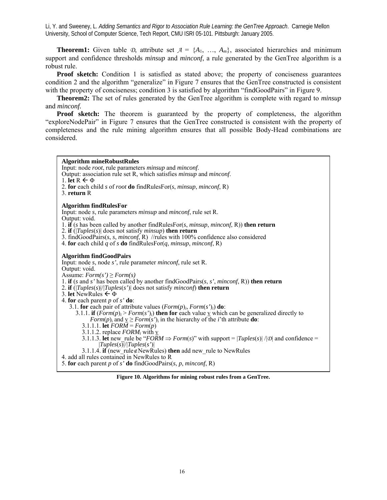**Theorem1:** Given table  $\mathcal{D}$ , attribute set  $\mathcal{A} = \{A_1, \ldots, A_m\}$ , associated hierarchies and minimum support and confidence thresholds *minsup* and *minconf*, a rule generated by the GenTree algorithm is a robust rule.

**Proof sketch:** Condition 1 is satisfied as stated above; the property of conciseness guarantees condition 2 and the algorithm "generalize" in Figure 7 ensures that the GenTree constructed is consistent with the property of conciseness; condition 3 is satisfied by algorithm "findGoodPairs" in Figure 9.

 **Theorem2:** The set of rules generated by the GenTree algorithm is complete with regard to *minsup* and *minconf.*

**Proof sketch:** The theorem is guaranteed by the property of completeness, the algorithm "exploreNodePair" in Figure 7 ensures that the GenTree constructed is consistent with the property of completeness and the rule mining algorithm ensures that all possible Body-Head combinations are considered.

**Algorithm mineRobustRules**<br>Input: node *root*, rule parameters *minsup* and *minconf*.

- Output: association rule set R, which satisfies *minsup* and *minconf*. 1. **let**  $R \leftarrow \Phi$
- 2. **for** each child *s* of *root* **do** findRulesFor(*s*, *minsup*, *minconf*, R)
- 3. **return** R

### **Algorithm findRulesFor**

Input: node *s*, rule parameters *minsup* and *minconf*, rule set R.

- Output: void.
- 1. **if** (*s* has been called by another findRulesFor(*s*, *minsup*, *minconf*, R)) **then return**
- 2. **if** (|*Tuples*(*s*)| does not satisfy *minsup*) **then return**
- 3. findGoodPairs(*s*, *s*, *minconf*, R) //rules with 100% confidence also considered
- 4. **for** each child *q* of *s* **do** findRulesFor(*q*, *minsup*, *minconf*, R)

#### **Algorithm findGoodPairs**

Input: node *s*, node *s'*, rule parameter *minconf*, rule set R. Output: void. Assume:  $Form(s') \geq Form(s)$ 1. **if** (*s* and *s'* has been called by another findGoodPairs(*s*, *s'*, *minconf*, R)) **then return**  2. **if** (|*Tuples*(*s*)|/|*Tuples*(*s'*)| does not satisfy *minconf*) **then return**  3. **let** NewRules ← Φ 4. **for** each parent *p* of *s'* **do**: 3.1. **for** each pair of attribute values ( $Form(p)$ *i*,  $Form(s')$ *i*) **do**: 3.1.1. **if**  $(\vec{Form}(p)_i > Form(s'))$  **then for** each value <u>v</u> which can be generalized directly to *Form*(*p*)<sub>i</sub> and  $\underline{v} \geq Form(s')$ <sub>i</sub> in the hierarchy of the *i*'th attribute **do**: 3.1.1.1. **let**  $FORM = Form(p)$ 3.1.1.2. replace  $FORM_i$  with v 3.1.1.3. **let** new rule be "*FORM*  $\Rightarrow$  *Form*(*s*)" with support =  $|Tuples(s)| / |D|$  and confidence =  $|Tuples(s)||Tuples(s')|$ 3.1.1.4. **if** (new\_rule∉NewRules) **then** add new\_rule to NewRules

4. add all rules contained in NewRules to R

5. **for** each parent *p* of *s'* **do** findGoodPairs(*s*, *p*, *minconf*, R)

**Figure 10. Algorithms for mining robust rules from a GenTree.**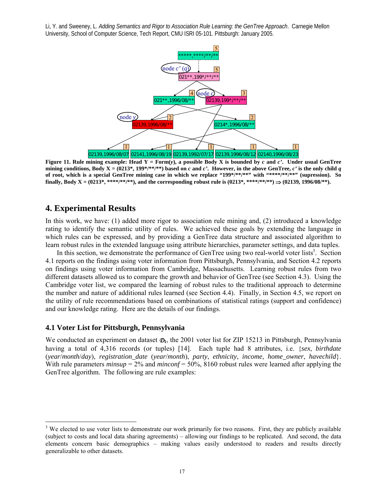

**Figure 11. Rule mining example: Head**  $Y = Form(y)$ **, a possible Body X is bounded by** *c* **and** *c'***. Under usual GenTree** mining conditions, Body  $X = (0213^*, 199^{*/**}/^{**})$  based on *c* and *c'*. However, in the above GenTree, *c'* is the only child *q* **of root, which is a special GenTree mining case in which we replace "199\*/\*\*/\*\*" with "\*\*\*\*/\*\*/\*\*" (supression). So finally, Body X** = (0213\*, \*\*\*\*/\*\*/\*\*), and the corresponding robust rule is (0213\*, \*\*\*\*/\*\*/\*\*)  $\Rightarrow$  (02139, 1996/08/\*\*).

# **4. Experimental Results**

 $\overline{a}$ 

In this work, we have: (1) added more rigor to association rule mining and, (2) introduced a knowledge rating to identify the semantic utility of rules. We achieved these goals by extending the language in which rules can be expressed, and by providing a GenTree data structure and associated algorithm to learn robust rules in the extended language using attribute hierarchies, parameter settings, and data tuples.

In this section, we demonstrate the performance of GenTree using two real-world voter lists<sup>3</sup>. Section 4.1 reports on the findings using voter information from Pittsburgh, Pennsylvania, and Section 4.2 reports on findings using voter information from Cambridge, Massachusetts. Learning robust rules from two different datasets allowed us to compare the growth and behavior of GenTree (see Section 4.3). Using the Cambridge voter list, we compared the learning of robust rules to the traditional approach to determine the number and nature of additional rules learned (see Section 4.4). Finally, in Section 4.5, we report on the utility of rule recommendations based on combinations of statistical ratings (support and confidence) and our knowledge rating. Here are the details of our findings.

### **4.1 Voter List for Pittsburgh, Pennsylvania**

We conducted an experiment on dataset  $\Phi_1$ , the 2001 voter list for ZIP 15213 in Pittsburgh, Pennsylvania having a total of 4,316 records (or tuples) [14]. Each tuple had 8 attributes, i.e. {*sex*, *birthdate* (*year*/*month*/*day*), *registration\_date* (*year*/*month*), *party*, *ethnicity*, *income*, *home\_owner*, *havechild*}. With rule parameters *minsup* = 2% and *minconf* = 50%, 8160 robust rules were learned after applying the GenTree algorithm. The following are rule examples:

 $3$  We elected to use voter lists to demonstrate our work primarily for two reasons. First, they are publicly available (subject to costs and local data sharing agreements) – allowing our findings to be replicated. And second, the data elements concern basic demographics – making values easily understood to readers and results directly generalizable to other datasets.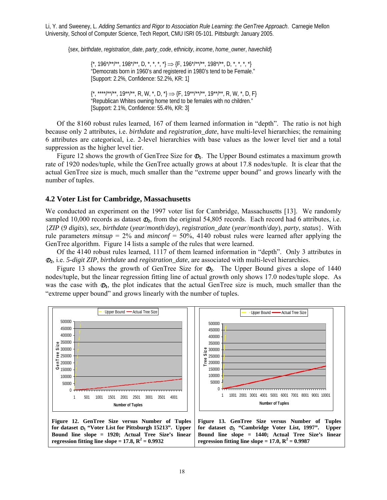{*sex*, *birthdate*, *registration\_date*, *party\_code*, *ethnicity*, *income*, *home\_owner*, *havechild*}

 $\{\kappa, 196^*/\kappa^*/\kappa^*, 198^*/\kappa^*, D, \kappa^*, \kappa^*, \kappa^* \} \Rightarrow \{F, 196^*/\kappa^*/\kappa^*, 198^*/\kappa^*, D, \kappa^*, \kappa^*, \kappa^* \}$ "Democrats born in 1960's and registered in 1980's tend to be Female." [Support: 2.2%, Confidence: 52.2%, KR: 1]

 ${\{\star,\atop^{\star\star\star\star\star\star\star\star\star\star\star},\star\star\star\star\star,\thinspace\mathsf{R},\thinspace\mathsf{W},\thinspace\star\thinspace,\mathsf{D},\thinspace\star\}} \Longrightarrow {\{\mathsf{F},\t19^{\star\star}\!\!/\star\star\star\star\star\star\star\star\star\mathsf{R},\thinspace\mathsf{W},\thinspace\star\thinspace,\mathsf{D},\thinspace\mathsf{F}\}}$ "Republican Whites owning home tend to be females with no children." [Support: 2.1%, Confidence: 55.4%, KR: 3]

 Of the 8160 robust rules learned, 167 of them learned information in "depth". The ratio is not high because only 2 attributes, i.e. *birthdate* and *registration\_date*, have multi-level hierarchies; the remaining 6 attributes are categorical, i.e. 2-level hierarchies with base values as the lower level tier and a total suppression as the higher level tier.

Figure 12 shows the growth of GenTree Size for  $\mathcal{D}_1$ . The Upper Bound estimates a maximum growth rate of 1920 nodes/tuple, while the GenTree actually grows at about 17.8 nodes/tuple. It is clear that the actual GenTree size is much, much smaller than the "extreme upper bound" and grows linearly with the number of tuples.

### **4.2 Voter List for Cambridge, Massachusetts**

We conducted an experiment on the 1997 voter list for Cambridge, Massachusetts [13]. We randomly sampled 10,000 records as dataset  $\mathcal{D}_2$ , from the original 54,805 records. Each record had 6 attributes, i.e. {*ZIP* (*9 digits*), *sex*, *birthdate* (*year*/*month*/*day*), *registration\_date* (*year*/*month*/*day*), *party*, *status*}. With rule parameters *minsup* = 2% and *minconf* = 50%, 4140 robust rules were learned after applying the GenTree algorithm. Figure 14 lists a sample of the rules that were learned.

 Of the 4140 robust rules learned, 1117 of them learned information in "depth". Only 3 attributes in *D***2**, i.e. *5-digit ZIP*, *birthdate* and *registration\_date*, are associated with multi-level hierarchies.

 Figure 13 shows the growth of GenTree Size for *D***2**. The Upper Bound gives a slope of 1440 nodes/tuple, but the linear regression fitting line of actual growth only shows 17.0 nodes/tuple slope. As was the case with  $\mathcal{D}_1$ , the plot indicates that the actual GenTree size is much, much smaller than the "extreme upper bound" and grows linearly with the number of tuples.

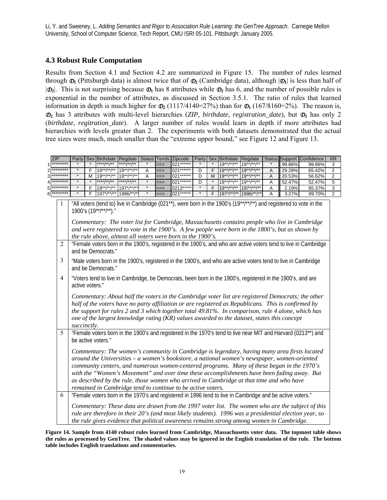# **4.3 Robust Rule Computation**

Results from Section 4.1 and Section 4.2 are summarized in Figure 15. The number of rules learned through  $\Phi_1$  (Pittsburgh data) is almost twice that of  $\Phi_2$  (Cambridge data), although  $|\Phi_1|$  is less than half of  $|\mathcal{D}_2|$ . This is not surprising because  $\mathcal{D}_1$  has 8 attributes while  $\mathcal{D}_2$  has 6, and the number of possible rules is exponential in the number of attributes, as discussed in Section 3.5.1. The ratio of rules that learned information in depth is much higher for  $\Phi_2$  (1117/4140=27%) than for  $\Phi_1$  (167/8160=2%). The reason is,  $\mathcal{D}_2$  has 3 attributes with multi-level hierarchies (*ZIP*, *birthdate*, *registration\_date*), but  $\mathcal{D}_1$  has only 2 (*birthdate*, *regitration\_date*). A larger number of rules would learn in depth if more attributes had hierarchies with levels greater than 2. The experiments with both datasets demonstrated that the actual tree sizes were much, much smaller than the "extreme upper bound," see Figure 12 and Figure 13.

ZIP Party Sex Birthdate Regdate Status Tends Zipcode Party Sex Birthdate Regdate Status Support Confidence KR

|                | -ai l'                                                                                                                                                                                                                                                                                                                                                                                                                                                                                                                                              |   | <b>Diililuale</b>     | <b>Reguale</b> |   | <b>Status Therius</b> | <b>Lipcour</b> | r al l  |   | <b>Difficult</b> | neyuale                                                                                                   | oldlus       |        | <b>Pollution Internet</b>                                                                                                                                                                                            | <b>ND</b>      |
|----------------|-----------------------------------------------------------------------------------------------------------------------------------------------------------------------------------------------------------------------------------------------------------------------------------------------------------------------------------------------------------------------------------------------------------------------------------------------------------------------------------------------------------------------------------------------------|---|-----------------------|----------------|---|-----------------------|----------------|---------|---|------------------|-----------------------------------------------------------------------------------------------------------|--------------|--------|----------------------------------------------------------------------------------------------------------------------------------------------------------------------------------------------------------------------|----------------|
| *********      |                                                                                                                                                                                                                                                                                                                                                                                                                                                                                                                                                     |   |                       | ****/**/**     |   | ==>                   | 021******      |         |   | $19**$ /**/**    | $19**$ /**/**                                                                                             |              | 99.86% | 99.86%                                                                                                                                                                                                               | 3              |
|                |                                                                                                                                                                                                                                                                                                                                                                                                                                                                                                                                                     | F | $19**/**/**$          | $19**/**/**$   | Α | ==>                   | 021            | D       | F | $19**/**/**$     | $19**$ /**/**                                                                                             | Α            | 29.28% | 65.42%                                                                                                                                                                                                               | 2              |
|                |                                                                                                                                                                                                                                                                                                                                                                                                                                                                                                                                                     | М | $19**/**/**$          | $19**$ /**/**  | Α | $\Rightarrow$         | 021******      | D       | M | $19**$ /**/**    | $19**$ /**/**                                                                                             | $\mathsf{A}$ | 20.53% | 56.62%                                                                                                                                                                                                               | $\overline{2}$ |
|                |                                                                                                                                                                                                                                                                                                                                                                                                                                                                                                                                                     |   | ****/**/**            | ****/**/**     |   | $==>$                 | 021******      | D       |   | $19**/**/**$     | $19**/**/**$                                                                                              | Α            | 52.47% | 52.47%                                                                                                                                                                                                               | 5              |
|                | $\star$                                                                                                                                                                                                                                                                                                                                                                                                                                                                                                                                             | F | $19**/**/**$          | $197^*/^{*7}/$ |   | $\Rightarrow$         | 0213*****      | $\star$ | F | $19**/**/**$     | 197*/**/**                                                                                                | Α            | 2.19%  | 65.37%                                                                                                                                                                                                               | 3              |
|                |                                                                                                                                                                                                                                                                                                                                                                                                                                                                                                                                                     | F | $197^*/**}$           | 1996/**/*      |   | ==>                   | 021******      | $\star$ | F | $197^*/**}$      | 1996/**/**                                                                                                | A            | 3.27%  | 99.70%                                                                                                                                                                                                               | $\overline{2}$ |
|                |                                                                                                                                                                                                                                                                                                                                                                                                                                                                                                                                                     |   | 1900's (19**/**/**)." |                |   |                       |                |         |   |                  | and were registered to vote in the 1900's. A few people were born in the 1800's, but as shown by          |              |        | "All voters (tend to) live in Cambridge (021**), were born in the 1900's (19**/**)**) and registered to vote in the<br>Commentary: The voter list for Cambridge, Massachusetts contains people who live in Cambridge |                |
| 2              | the rule above, almost all voters were born in the 1900's.<br>"Female voters born in the 1900's, registered in the 1900's, and who are active voters tend to live in Cambridge<br>and be Democrats."                                                                                                                                                                                                                                                                                                                                                |   |                       |                |   |                       |                |         |   |                  |                                                                                                           |              |        |                                                                                                                                                                                                                      |                |
| 3              | "Male voters born in the 1900's, registered in the 1900's, and who are active voters tend to live in Cambridge<br>and be Democrats."                                                                                                                                                                                                                                                                                                                                                                                                                |   |                       |                |   |                       |                |         |   |                  |                                                                                                           |              |        |                                                                                                                                                                                                                      |                |
| $\overline{4}$ | "Voters tend to live in Cambridge, be Democrats, been born in the 1900's, registered in the 1900's, and are<br>active voters."                                                                                                                                                                                                                                                                                                                                                                                                                      |   |                       |                |   |                       |                |         |   |                  |                                                                                                           |              |        |                                                                                                                                                                                                                      |                |
|                | Commentary: About half the voters in the Cambridge voter list are registered Democrats; the other<br>half of the voters have no party affiliation or are registered as Republicans. This is confirmed by<br>the support for rules 2 and 3 which together total 49.81%. In comparison, rule 4 alone, which has<br>one of the largest knowledge rating (KR) values awarded to the dataset, states this concept<br>succinctly.                                                                                                                         |   |                       |                |   |                       |                |         |   |                  |                                                                                                           |              |        |                                                                                                                                                                                                                      |                |
| 5              |                                                                                                                                                                                                                                                                                                                                                                                                                                                                                                                                                     |   | be active voters."    |                |   |                       |                |         |   |                  |                                                                                                           |              |        | "Female voters born in the 1900's and registered in the 1970's tend to live near MIT and Harvard (0213**) and                                                                                                        |                |
|                | Commentary: The women's community in Cambridge is legendary, having many area firsts located<br>around the Universities $-a$ women's bookstore, a national women's newspaper, women-oriented<br>community centers, and numerous women-centered programs. Many of these began in the 1970's<br>with the "Women's Movement" and over time these accomplishments have been fading away. But<br>as described by the rule, those women who arrived in Cambridge at that time and who have<br>remained in Cambridge tend to continue to be active voters. |   |                       |                |   |                       |                |         |   |                  |                                                                                                           |              |        |                                                                                                                                                                                                                      |                |
| 6              |                                                                                                                                                                                                                                                                                                                                                                                                                                                                                                                                                     |   |                       |                |   |                       |                |         |   |                  | "Female voters born in the 1970's and registered in 1996 tend to live in Cambridge and be active voters." |              |        |                                                                                                                                                                                                                      |                |
|                |                                                                                                                                                                                                                                                                                                                                                                                                                                                                                                                                                     |   |                       |                |   |                       |                |         |   |                  | the rule gives evidence that political awareness remains strong among women in Cambridge.                 |              |        | Commentary: These data are drawn from the 1997 voter list. The women who are the subject of this<br>rule are therefore in their 20's (and most likely students). 1996 was a presidential election year, so           |                |

**Figure 14. Sample from 4140 robust rules learned from Cambridge, Massachusetts voter data. The topmost table shows the rules as processed by GenTree. The shaded values may be ignored in the English translation of the rule. The bottom table includes English translations and commentaries.**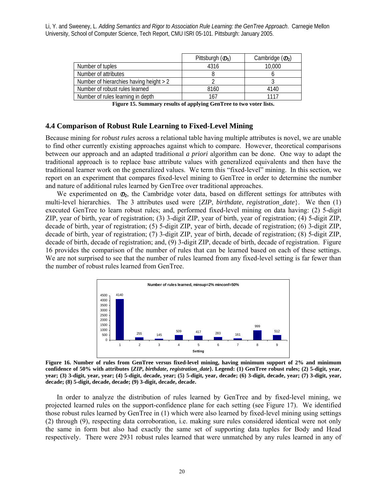|                                         | Pittsburgh $(\mathcal{D}_1)$ | Cambridge $(\mathcal{D}_2)$ |
|-----------------------------------------|------------------------------|-----------------------------|
| Number of tuples                        | 4316                         | 10.000                      |
| Number of attributes                    |                              |                             |
| Number of hierarchies having height > 2 |                              |                             |
| Number of robust rules learned          | 8160                         | 4140                        |
| Number of rules learning in depth       | 167                          | 1117                        |

**Figure 15. Summary results of applying GenTree to two voter lists.** 

### **4.4 Comparison of Robust Rule Learning to Fixed-Level Mining**

Because mining for *robust rules* across a relational table having multiple attributes is novel, we are unable to find other currently existing approaches against which to compare. However, theoretical comparisons between our approach and an adapted traditional *a priori* algorithm can be done. One way to adapt the traditional approach is to replace base attribute values with generalized equivalents and then have the traditional learner work on the generalized values. We term this "fixed-level" mining. In this section, we report on an experiment that compares fixed-level mining to GenTree in order to determine the number and nature of additional rules learned by GenTree over traditional approaches.

We experimented on  $\mathcal{D}_2$ , the Cambridge voter data, based on different settings for attributes with multi-level hierarchies. The 3 attributes used were {*ZIP*, *birthdate*, *registration\_date*}. We then (1) executed GenTree to learn robust rules; and, performed fixed-level mining on data having: (2) 5-digit ZIP, year of birth, year of registration; (3) 3-digit ZIP, year of birth, year of registration; (4) 5-digit ZIP, decade of birth, year of registration; (5) 5-digit ZIP, year of birth, decade of registration; (6) 3-digit ZIP, decade of birth, year of registration; (7) 3-digit ZIP, year of birth, decade of registration; (8) 5-digit ZIP, decade of birth, decade of registration; and, (9) 3-digit ZIP, decade of birth, decade of registration. Figure 16 provides the comparison of the number of rules that can be learned based on each of these settings. We are not surprised to see that the number of rules learned from any fixed-level setting is far fewer than the number of robust rules learned from GenTree.



**Figure 16. Number of rules from GenTree versus fixed-level mining, having minimum support of 2% and minimum confidence of 50% with attributes {***ZIP***,** *birthdate***,** *registration\_date***}. Legend: (1) GenTree robust rules; (2) 5-digit, year, year; (3) 3-digit, year, year; (4) 5-digit, decade, year; (5) 5-digit, year, decade; (6) 3-digit, decade, year; (7) 3-digit, year, decade; (8) 5-digit, decade, decade; (9) 3-digit, decade, decade.** 

 In order to analyze the distribution of rules learned by GenTree and by fixed-level mining, we projected learned rules on the support-confidence plane for each setting (see Figure 17). We identified those robust rules learned by GenTree in (1) which were also learned by fixed-level mining using settings (2) through (9), respecting data corroboration, i.e. making sure rules considered identical were not only the same in form but also had exactly the same set of supporting data tuples for Body and Head respectively. There were 2931 robust rules learned that were unmatched by any rules learned in any of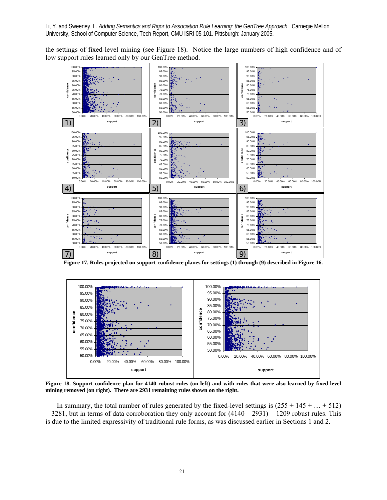the settings of fixed-level mining (see Figure 18). Notice the large numbers of high confidence and of low support rules learned only by our GenTree method.



**Figure 17. Rules projected on support-confidence planes for settings (1) through (9) described in Figure 16.** 



**Figure 18. Support-confidence plan for 4140 robust rules (on left) and with rules that were also learned by fixed-level mining removed (on right). There are 2931 remaining rules shown on the right.** 

In summary, the total number of rules generated by the fixed-level settings is  $(255 + 145 + ... + 512)$  $= 3281$ , but in terms of data corroboration they only account for  $(4140 - 2931) = 1209$  robust rules. This is due to the limited expressivity of traditional rule forms, as was discussed earlier in Sections 1 and 2.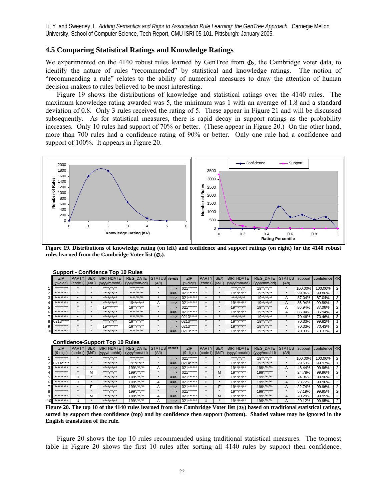### **4.5 Comparing Statistical Ratings and Knowledge Ratings**

We experimented on the 4140 robust rules learned by GenTree from  $\mathcal{D}_2$ , the Cambridge voter data, to identify the nature of rules "recommended" by statistical and knowledge ratings. The notion of "recommending a rule" relates to the ability of numerical measures to draw the attention of human decision-makers to rules believed to be most interesting.

 Figure 19 shows the distributions of knowledge and statistical ratings over the 4140 rules. The maximum knowledge rating awarded was 5, the minimum was 1 with an average of 1.8 and a standard deviation of 0.8. Only 3 rules received the rating of 5. These appear in Figure 21 and will be discussed subsequently. As for statistical measures, there is rapid decay in support ratings as the probability increases. Only 10 rules had support of 70% or better. (These appear in Figure 20.) On the other hand, more than 700 rules had a confidence rating of 90% or better. Only one rule had a confidence and support of 100%. It appears in Figure 20.



**Figure 19. Distributions of knowledge rating (on left) and confidence and support ratings (on right) for the 4140 robust rules learned from the Cambridge Voter list (***D***2).**

|    |                   |               |            | <b>Propriet - Communities</b> TOP TO KUIGS                                                                                                   |                       |       |               |             |              |            |                                                                                                             |                                       |       |         |         |  |
|----|-------------------|---------------|------------|----------------------------------------------------------------------------------------------------------------------------------------------|-----------------------|-------|---------------|-------------|--------------|------------|-------------------------------------------------------------------------------------------------------------|---------------------------------------|-------|---------|---------|--|
|    | ZIP               | <b>PARTYL</b> | <b>SEX</b> | BIRTHDATE                                                                                                                                    | REG DATE STATUS tends |       |               | ZIP         | <b>PARTY</b> | <b>SEX</b> | <b>BIRTHDATE</b>                                                                                            | REG DATE STATUS support confidence KR |       |         |         |  |
|    |                   |               |            | $(9\text{-digit})$ $\left[\text{(code1)}\right]$ $\left(\text{M/F}\right)$ $\left(\text{vyvy/mm/dd}\right)$ $\left(\text{vyvy/mm/dd}\right)$ |                       | (A/I) |               | $(9-digit)$ |              |            | $\left[\right(\text{code1})\right](M/F)\left[\right(\text{yyy/mm/dd})\left[\right(\text{yyy/mm/dd})\right]$ |                                       | (A/I) |         |         |  |
|    | **********        |               |            | $***$ /** /**                                                                                                                                | $***$ /** /**         |       | $==$          | $021*****$  |              |            | $***++$ /** /**                                                                                             | $19^{**}/^{**}/^{**}$                 |       | 100.00% | 100.00% |  |
|    | *********         |               |            | **** /** /**                                                                                                                                 | **** /** /**          |       | $==$          | $021***$    |              |            | $19^{**}/^{**}/^{**}$                                                                                       | $19^{**}/^{**}$ /**                   |       | 99.86%  | 99.86%  |  |
|    | $+ + + + + + + +$ |               |            | $***$ /** /**                                                                                                                                | **** /** /**          |       | $==$          | $021***$    |              |            | ****/**/**                                                                                                  | $19^{**}/^{**}/^{**}$                 |       | 87.04%  | 87.04%  |  |
|    | *********         |               |            | $***1***1***$                                                                                                                                | $19^{**}/^{**}/^{**}$ | ñ     | $==$          | $021******$ |              |            | $19**$ /**/**                                                                                               | $19**$ /**/**                         |       | 86.94%  | 99.89%  |  |
| 5  | *********         |               |            | $19^{**}/^{**}$ /**                                                                                                                          | $19^{**}/^{**}/^{**}$ |       | $==$          | $021******$ |              |            | $19**/**/**$                                                                                                | $19**$ /**/**                         |       | 86.94%  | 87.06%  |  |
| 6  | *********         |               |            | ****/**/**                                                                                                                                   | **** /** /**          |       | $==$          | $021***$    |              |            | $19^{**}/^{**}$ /**                                                                                         | $19^{**}/^{**}$ /**                   |       | 86.94%  | 86.94%  |  |
|    | *********         |               |            | **** /** /**                                                                                                                                 | $***++I***$           |       | $\Rightarrow$ | 0213*****   |              |            | ****/**/**                                                                                                  | $19^{**}/^{**}$ /**                   |       | 70.46%  | 70.46%  |  |
| 81 | 0213*****         |               |            | ****/**/**                                                                                                                                   | $19^{**}/^{**}$ /**   |       | $==$          | 0213*****   |              |            | $19^{**}/^{**}$ /**                                                                                         | $19**$ /**/**                         |       | 70.33%  | 99.82%  |  |
|    | *********         |               |            | $19^{**}/^{**}/^{**}$                                                                                                                        | $19^{**}/^{**}$ /**   |       | $==$          | 0213*****   |              |            | $19**$ /**/**                                                                                               | $19**/***$                            |       | 70.33%  | 70.43%  |  |
|    | *********         |               |            | **** /** /**                                                                                                                                 | **** /** /**          |       | $==$          | 0213*****   |              |            | $19**$ /**/**                                                                                               | $19**$ /**/**                         |       | 70.33%  | 70.33%  |  |

**Support - Confidence Top 10 Rules**

#### **Confidence-Support Top 10 Rules**

|   | <b>ZIP</b> | <b>PARTY</b> | <b>SEX</b> | <b>BIRTHDATE</b>                                                                                                                                               | REG DATE STATUS tends |              |      | <b>ZIP</b>                                       | <b>PARTY</b> | <b>SEX</b> | <b>BIRTHDATE</b>           | REG DATE STATUS      |       |         | support confidence KR |  |
|---|------------|--------------|------------|----------------------------------------------------------------------------------------------------------------------------------------------------------------|-----------------------|--------------|------|--------------------------------------------------|--------------|------------|----------------------------|----------------------|-------|---------|-----------------------|--|
|   |            |              |            | $(9\text{-digit})$ $\lfloor \text{(code1)} \rfloor$ $\lfloor \text{(M/F)} \rfloor$ $\lfloor \text{(vyvy/mm/dd)} \rfloor$ $\lfloor \text{(vyvy/mm/dd)} \rfloor$ |                       | (A/I)        |      | $(9\text{-digit})$ $\vert$ (code1) $\vert$ (M/F) |              |            | $(vv/v/mm/dd)$ (vyv/mm/dd) |                      | (A/I) |         |                       |  |
|   |            |              |            | **** /** /**                                                                                                                                                   | $***++$ /** /**       |              | $==$ |                                                  |              |            | **** /** /**               | $19^{**}/^{**}$ /**  |       | 100.00% | 100.00%               |  |
|   |            |              |            | $***++1***$                                                                                                                                                    | $19^{**}/^{**}$ /**   |              | $==$ | 0214*****                                        |              |            | $19**$ /**/**              | $19**/***$           |       | 29.53%  | 99.97%                |  |
|   | ********   |              |            | ****/**/**                                                                                                                                                     | $199^*/**$ /**        |              | $==$ | $021***$                                         |              |            | $19**$ /**/**              | $199^*/**$ /**/**    |       | 48.44%  | 99.96%                |  |
|   | *********  |              | м          | ****/**/**                                                                                                                                                     | $199^*/**$ /**        |              | $==$ | 021******                                        |              | M          | $19**/***$                 | $199^*/**$ /**/**    |       | 24.78%  | 99.96%                |  |
|   | ********** |              |            | ****/**/**                                                                                                                                                     | $199^*/**$ /**/**     |              | $==$ | $021*****$                                       |              |            | $19^{**}/^{**}/^{**}$      | $199^*/**/**$        |       | 24.36%  | 99.96%                |  |
| 6 | ********** |              |            | **** /** /**                                                                                                                                                   | $199^*/**$ /**/**     | $\mathsf{A}$ | $==$ | $021*****$                                       | D            |            | $19**$ /**/**              | $199^{\star}$ /**/** |       | 23.72%  | 99.96%                |  |
|   | *********  |              |            | ****/**/**                                                                                                                                                     | $199^*/**$ /**/**     |              | $==$ | 021******                                        |              |            | $19^{**}/^{**}/^{**}$      | $199^{\star}$ /**/** |       | 22.74%  | 99.96%                |  |
|   | ********** |              |            | ****/**/**                                                                                                                                                     | $199^*/**$ /**/**     |              | $==$ | 021******                                        |              |            | $19^{**}/^{**}$ /**        | $199^*/^{**}/^{**}$  |       | 57.19%  | 99.95%                |  |
|   | ********** |              | M          | **** /** /**                                                                                                                                                   | $199^*/**$ /**/**     | $\mathsf{A}$ | $==$ | 021******                                        |              | M          | $19^{**}/^{**}/^{**}$      | $199^*/**$ /**/**    |       | 20.29%  | 99.95%                |  |
|   | *********  |              |            | $***++$ /** /**                                                                                                                                                | $199^*/**$ /**/**     |              | $==$ | 021******                                        |              |            | $19^{**}/^{**}/^{**}$      | 199*/**/**           |       | 20.12%  | 99.95%                |  |

**Figure 20. The top 10 of the 4140 rules learned from the Cambridge Voter list**  $(\mathcal{D}_2)$  **based on traditional statistical ratings, sorted by support then confidence (top) and by confidence then support (bottom). Shaded values may be ignored in the English translation of the rule.**

 Figure 20 shows the top 10 rules recommended using traditional statistical measures. The topmost table in Figure 20 shows the first 10 rules after sorting all 4140 rules by support then confidence.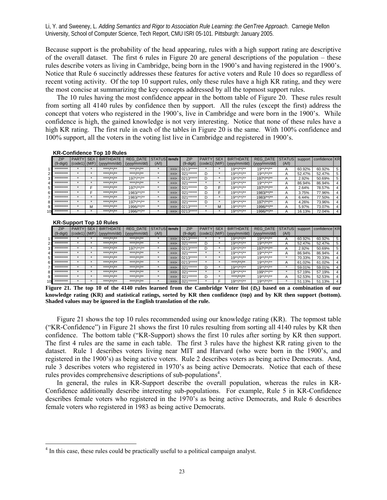Because support is the probability of the head appearing, rules with a high support rating are descriptive of the overall dataset. The first 6 rules in Figure 20 are general descriptions of the population – these rules describe voters as living in Cambridge, being born in the 1900's and having registered in the 1900's. Notice that Rule 6 succinctly addresses these features for active voters and Rule 10 does so regardless of recent voting activity. Of the top 10 support rules, only these rules have a high KR rating, and they were the most concise at summarizing the key concepts addressed by all the topmost support rules.

 The 10 rules having the most confidence appear in the bottom table of Figure 20. These rules result from sorting all 4140 rules by confidence then by support. All the rules (except the first) address the concept that voters who registered in the 1900's, live in Cambridge and were born in the 1900's. While confidence is high, the gained knowledge is not very interesting. Notice that none of these rules have a high KR rating. The first rule in each of the tables in Figure 20 is the same. With 100% confidence and 100% support, all the voters in the voting list live in Cambridge and registered in 1900's.

|   | <b>ZIP</b> | <b>PARTY</b> | <b>SEX</b> | <b>BIRTHDATE</b>                                                                           | REG DATE STATUS tends |         |               | ZIP         | <b>PARTY</b> | <b>SEX</b> | <b>BIRTHDATE</b>                                                                               | REG DATE STATUS support confidence KR |                |        |        |   |
|---|------------|--------------|------------|--------------------------------------------------------------------------------------------|-----------------------|---------|---------------|-------------|--------------|------------|------------------------------------------------------------------------------------------------|---------------------------------------|----------------|--------|--------|---|
|   |            |              |            | $(9\text{-digit})$ $\vert$ (code1) $\vert$ (M/F) $\vert$ (yyyy/mm/dd) $\vert$ (yyyy/mm/dd) |                       | (A/I)   |               | $(9-digit)$ |              |            | $\left  \right $ (code1) $\left  \right $ (M/F) $\left  \right $ (yyyy/mm/dd) $\left  \right $ | (vv/v/mm / dd)                        | (A/I)          |        |        |   |
|   | *********  |              |            | $***1**1**1**$                                                                             | ****/**/**            |         | $\Rightarrow$ | $0213***$   |              |            | $19**/***$                                                                                     | $19**$ /**/**                         | A              | 60.92% | 60.92% | 5 |
|   | *********  |              |            | **** /** /**                                                                               | **** /** /**          | $\star$ | $\Rightarrow$ | $021***$    | D            |            | $19^{**}/^{**}/^{**}$                                                                          | $19^{**}/^{**}/^{**}$                 | $\overline{A}$ | 52.47% | 52.47% | 5 |
|   | ********** |              |            | ****/**/**                                                                                 | $197^*/**}$           |         | $\Rightarrow$ | 0213*****   | D            |            | $19^{**}/^{**}/^{**}$                                                                          | $197^*/**}$                           |                | 2.92%  | 50.69% | 5 |
|   | *********  |              |            | ****/**/**                                                                                 | ****/**/**            |         | $\Rightarrow$ | 021******   |              |            | $19^{**}/^{**}/^{**}$                                                                          | $19**$ /**/**                         |                | 86.94% | 86.94% |   |
| 5 | *********  |              |            | $***$ /** /**                                                                              | $197^*/**}$           |         | $\Rightarrow$ | 021******   |              | Е          | $19^{**}/^{**}/^{**}$                                                                          | $197^*/**$                            |                | 2.64%  | 78.57% | 4 |
| 6 | ********** |              |            | ****/**/**                                                                                 | 1983/**/**            |         | $\Rightarrow$ | 021******   |              | Е          | $19***$ /**/**                                                                                 | $1983$ /**/**                         |                | 3.75%  | 77.96% | 4 |
|   | *********  |              |            | ****/**/**                                                                                 | $1983$ /**/**         |         | $\Rightarrow$ | 021******   | D            |            | $19^{**}/^{**}/^{**}$                                                                          | 1983/**/**                            |                | 6.44%  | 77.50% |   |
| 8 | *********  |              |            | **** /** /**                                                                               | $197^*/**$            |         | $\Rightarrow$ | $021*****$  | D            |            | $19***$ /**/**                                                                                 | $197^*/**$                            |                | 4.26%  | 73.96% | 4 |
|   | *********  |              | м          | **** /** /**                                                                               | $1996$ /**/**         |         | $\Rightarrow$ | 0213*****   |              | м          | $19**/***$                                                                                     | $1996$ /**/**                         |                | 5.97%  | 73.07% | 4 |
|   | *********  |              |            | **** /** /**                                                                               | 1996/**/**            |         | $\Rightarrow$ | 0213*****   |              |            | $19^{**}/^{**}/^{**}$                                                                          | 1996/**/**                            |                | 16.13% | 72.04% | 4 |

#### **KR-Confidence Top 10 Rules**

#### **KR-Support Top 10 Rules**

 $\overline{a}$ 

| $1.1.9$ buppoint $1.96$ |                   |            |                   |                       |         |      |             |                   |            |                       |                       |       |         |               |                |
|-------------------------|-------------------|------------|-------------------|-----------------------|---------|------|-------------|-------------------|------------|-----------------------|-----------------------|-------|---------|---------------|----------------|
| ZIP                     | <b>PARTY</b>      | <b>SEX</b> | <b>BIRTHDATE</b>  | REG DATE STATUS tends |         |      | <b>ZIP</b>  | <b>PARTY</b>      | <b>SEX</b> | <b>BIRTHDATE</b>      | REG DATE STATUS       |       | support | confidence KR |                |
| (9-digit)               | $(code1)$ $(M/F)$ |            | (yyyy/mm/dd)      | (vv/v/mm / dd)        | (A/I)   |      | $(9-digit)$ | $(Code1)$ $(M/F)$ |            | (yyy/mm/dd)           | (vwy/mm/dd)           | (A/I) |         |               |                |
| **********              |                   |            | **** /** /**      | **** /** /**          |         | ==>  | 0213*****   |                   |            | $19^{**}$ /**/**      | $19**$ /**/**         |       | 60.92%  | 60.92%        | 5              |
| *********               |                   |            | **** /** /**      | $***++$ /** /**       | ₩       | $==$ | $021***$    | D                 |            | $19^{**}/^{**}/^{**}$ | $19**$ /**/**         | А     | 52.47%  | 52.47%        | 5              |
| *********               |                   |            | $***$ /** /** /** | $197^*/**$            |         | ==>  | $0213***$   | D                 |            | $19^{**}/^{**}/^{**}$ | $197^*/**$            |       | 2.92%   | 50.69%        | 5              |
| *********               |                   |            | **** /** /**      | $****I**I**$          | ∗       | $==$ | 021******   | ٠                 |            | $19**/***$            | $19^{**}/^{**}/^{**}$ | А     | 86.94%  | 86.94%        | 4              |
| *********               |                   |            | **** /** /**      | $***$ /** /**         | ×       | ==>  | 0213*****   |                   |            | $19^{**}/^{**}/^{**}$ | $19**$ /**/**         |       | 70.33%  | 70.33%        | 4              |
| *********               |                   |            | ****/**/**        | **** /** /**          | $\star$ | $==$ | 0213*****   |                   |            | ****/**/**            | $19^{**}/^{**}/^{**}$ |       | 61.02%  | 61.02%        | 4              |
| **********              |                   |            | **** /** /**      | **** /** /**          | $\star$ | $==$ | 021******   | D                 |            | $19^{**}$ /**/**      | $19^{**}/^{**}/^{**}$ |       | 59.01%  | 59.01%        | 4              |
| *********               |                   |            | $***$ /** /**     | $***$ /** /**         | ж.      | $==$ | 021******   | ⋇                 |            | $19^{**}/^{**}/^{**}$ | $199^*/**$ /**        |       | 57.19%  | 57.19%        | 4              |
| *********               |                   |            | **** /** /**      | **** /** /**          |         | ==>  | 021******   | D                 |            | **** /** /**          | $19^{**}/^{**}/^{**}$ |       | 52.53%  | 52.53%        | 4              |
| *********               |                   |            | **** /** /**      | **** /** /**          |         | ==>  | 021******   |                   |            | $19**/***$            | $19**$ /**/**         |       | 51.13%  | 51.13%        | $\overline{a}$ |

**Figure 21.** The top 10 of the 4140 rules learned from the Cambridge Voter list  $(\mathcal{D}_2)$  based on a combination of our **knowledge rating (KR) and statistical ratings, sorted by KR then confidence (top) and by KR then support (bottom). Shaded values may be ignored in the English translation of the rule.** 

 Figure 21 shows the top 10 rules recommended using our knowledge rating (KR). The topmost table ("KR-Confidence") in Figure 21 shows the first 10 rules resulting from sorting all 4140 rules by KR then confidence. The bottom table ("KR-Support) shows the first 10 rules after sorting by KR then support. The first 4 rules are the same in each table. The first 3 rules have the highest KR rating given to the dataset. Rule 1 describes voters living near MIT and Harvard (who were born in the 1900's, and registered in the 1900's) as being active voters. Rule 2 describes voters as being active Democrats. And, rule 3 describes voters who registered in 1970's as being active Democrats. Notice that each of these rules provides comprehensive descriptions of sub-populations<sup>4</sup>.

 In general, the rules in KR-Support describe the overall population, whereas the rules in KR-Confidence additionally describe interesting sub-populations. For example, Rule 5 in KR-Confidence describes female voters who registered in the 1970's as being active Democrats, and Rule 6 describes female voters who registered in 1983 as being active Democrats.

 $<sup>4</sup>$  In this case, these rules could be practically useful to a political campaign analyst.</sup>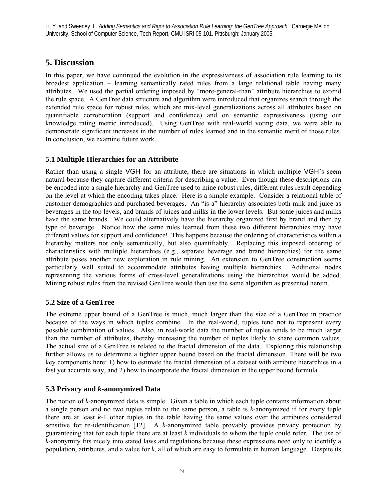# **5. Discussion**

In this paper, we have continued the evolution in the expressiveness of association rule learning to its broadest application – learning semantically rated rules from a large relational table having many attributes. We used the partial ordering imposed by "more-general-than" attribute hierarchies to extend the rule space. A GenTree data structure and algorithm were introduced that organizes search through the extended rule space for robust rules, which are mix-level generalizations across all attributes based on quantifiable corroboration (support and confidence) and on semantic expressiveness (using our knowledge rating metric introduced). Using GenTree with real-world voting data, we were able to demonstrate significant increases in the number of rules learned and in the semantic merit of those rules. In conclusion, we examine future work.

# **5.1 Multiple Hierarchies for an Attribute**

Rather than using a single VGH for an attribute, there are situations in which multiple VGH's seem natural because they capture different criteria for describing a value. Even though these descriptions can be encoded into a single hierarchy and GenTree used to mine robust rules, different rules result depending on the level at which the encoding takes place. Here is a simple example. Consider a relational table of customer demographics and purchased beverages. An "is-a" hierarchy associates both milk and juice as beverages in the top levels, and brands of juices and milks in the lower levels. But some juices and milks have the same brands. We could alternatively have the hierarchy organized first by brand and then by type of beverage. Notice how the same rules learned from these two different hierarchies may have different values for support and confidence! This happens because the ordering of characteristics within a hierarchy matters not only semantically, but also quantifiably. Replacing this imposed ordering of characteristics with multiple hierarchies (e.g., separate beverage and brand hierarchies) for the same attribute poses another new exploration in rule mining. An extension to GenTree construction seems particularly well suited to accommodate attributes having multiple hierarchies. Additional nodes representing the various forms of cross-level generalizations using the hierarchies would be added. Mining robust rules from the revised GenTree would then use the same algorithm as presented herein.

# **5.2 Size of a GenTree**

The extreme upper bound of a GenTree is much, much larger than the size of a GenTree in practice because of the ways in which tuples combine. In the real-world, tuples tend not to represent every possible combination of values. Also, in real-world data the number of tuples tends to be much larger than the number of attributes, thereby increasing the number of tuples likely to share common values. The actual size of a GenTree is related to the fractal dimension of the data. Exploring this relationship further allows us to determine a tighter upper bound based on the fractal dimension. There will be two key components here: 1) how to estimate the fractal dimension of a dataset with attribute hierarchies in a fast yet accurate way, and 2) how to incorporate the fractal dimension in the upper bound formula.

# **5.3 Privacy and** *k***-anonymized Data**

The notion of *k*-anonymized data is simple. Given a table in which each tuple contains information about a single person and no two tuples relate to the same person, a table is *k*-anonymized if for every tuple there are at least *k*-1 other tuples in the table having the same values over the attributes considered sensitive for re-identification [12]. A *k*-anonymized table provably provides privacy protection by guaranteeing that for each tuple there are at least *k* individuals to whom the tuple could refer. The use of *k*-anonymity fits nicely into stated laws and regulations because these expressions need only to identify a population, attributes, and a value for *k*, all of which are easy to formulate in human language. Despite its